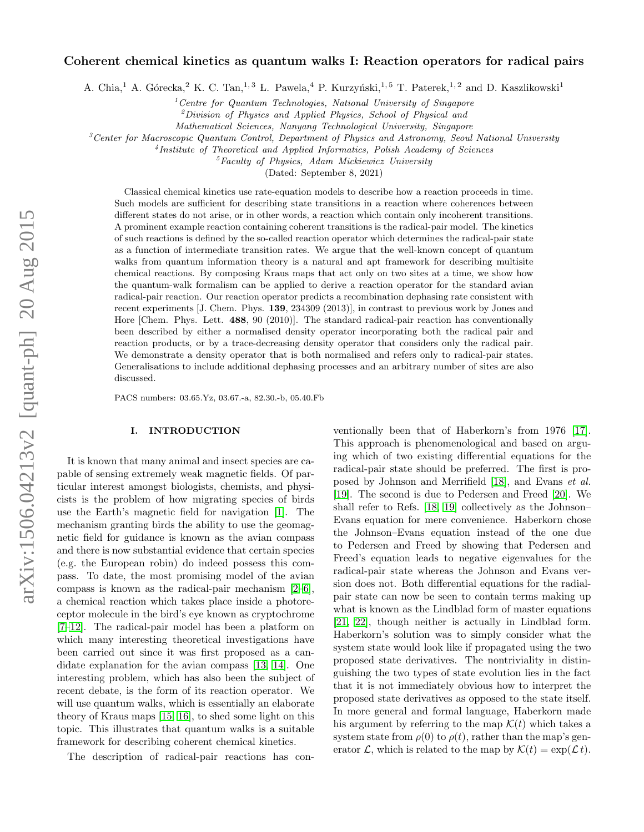# arXiv:1506.04213v2 [quant-ph] 20 Aug 2015 arXiv:1506.04213v2 [quant-ph] 20 Aug 2015

# Coherent chemical kinetics as quantum walks I: Reaction operators for radical pairs

A. Chia,<sup>1</sup> A. Górecka,<sup>2</sup> K. C. Tan,<sup>1,3</sup> L. Pawela,<sup>4</sup> P. Kurzyński,<sup>1,5</sup> T. Paterek,<sup>1,2</sup> and D. Kaszlikowski<sup>1</sup>

 $1$ <sup>1</sup> Centre for Quantum Technologies, National University of Singapore

 ${}^{2}$ Division of Physics and Applied Physics, School of Physical and

Mathematical Sciences, Nanyang Technological University, Singapore

 ${}^{3}$ Center for Macroscopic Quantum Control, Department of Physics and Astronomy, Seoul National University

4 Institute of Theoretical and Applied Informatics, Polish Academy of Sciences

 $<sup>5</sup>Faculty$  of Physics, Adam Mickiewicz University</sup>

(Dated: September 8, 2021)

Classical chemical kinetics use rate-equation models to describe how a reaction proceeds in time. Such models are sufficient for describing state transitions in a reaction where coherences between different states do not arise, or in other words, a reaction which contain only incoherent transitions. A prominent example reaction containing coherent transitions is the radical-pair model. The kinetics of such reactions is defined by the so-called reaction operator which determines the radical-pair state as a function of intermediate transition rates. We argue that the well-known concept of quantum walks from quantum information theory is a natural and apt framework for describing multisite chemical reactions. By composing Kraus maps that act only on two sites at a time, we show how the quantum-walk formalism can be applied to derive a reaction operator for the standard avian radical-pair reaction. Our reaction operator predicts a recombination dephasing rate consistent with recent experiments [J. Chem. Phys. 139, 234309 (2013)], in contrast to previous work by Jones and Hore [Chem. Phys. Lett. 488, 90 (2010)]. The standard radical-pair reaction has conventionally been described by either a normalised density operator incorporating both the radical pair and reaction products, or by a trace-decreasing density operator that considers only the radical pair. We demonstrate a density operator that is both normalised and refers only to radical-pair states. Generalisations to include additional dephasing processes and an arbitrary number of sites are also discussed.

PACS numbers: 03.65.Yz, 03.67.-a, 82.30.-b, 05.40.Fb

# I. INTRODUCTION

It is known that many animal and insect species are capable of sensing extremely weak magnetic fields. Of particular interest amongst biologists, chemists, and physicists is the problem of how migrating species of birds use the Earth's magnetic field for navigation [\[1\]](#page-19-0). The mechanism granting birds the ability to use the geomagnetic field for guidance is known as the avian compass and there is now substantial evidence that certain species (e.g. the European robin) do indeed possess this compass. To date, the most promising model of the avian compass is known as the radical-pair mechanism [\[2–](#page-19-1)[6\]](#page-19-2), a chemical reaction which takes place inside a photoreceptor molecule in the bird's eye known as cryptochrome [\[7–](#page-19-3)[12\]](#page-19-4). The radical-pair model has been a platform on which many interesting theoretical investigations have been carried out since it was first proposed as a candidate explanation for the avian compass [\[13,](#page-19-5) [14\]](#page-19-6). One interesting problem, which has also been the subject of recent debate, is the form of its reaction operator. We will use quantum walks, which is essentially an elaborate theory of Kraus maps [\[15,](#page-20-0) [16\]](#page-20-1), to shed some light on this topic. This illustrates that quantum walks is a suitable framework for describing coherent chemical kinetics.

The description of radical-pair reactions has con-

ventionally been that of Haberkorn's from 1976 [\[17\]](#page-20-2). This approach is phenomenological and based on arguing which of two existing differential equations for the radical-pair state should be preferred. The first is proposed by Johnson and Merrifield [\[18\]](#page-20-3), and Evans et al. [\[19\]](#page-20-4). The second is due to Pedersen and Freed [\[20\]](#page-20-5). We shall refer to Refs. [\[18,](#page-20-3) [19\]](#page-20-4) collectively as the Johnson– Evans equation for mere convenience. Haberkorn chose the Johnson–Evans equation instead of the one due to Pedersen and Freed by showing that Pedersen and Freed's equation leads to negative eigenvalues for the radical-pair state whereas the Johnson and Evans version does not. Both differential equations for the radialpair state can now be seen to contain terms making up what is known as the Lindblad form of master equations [\[21,](#page-20-6) [22\]](#page-20-7), though neither is actually in Lindblad form. Haberkorn's solution was to simply consider what the system state would look like if propagated using the two proposed state derivatives. The nontriviality in distinguishing the two types of state evolution lies in the fact that it is not immediately obvious how to interpret the proposed state derivatives as opposed to the state itself. In more general and formal language, Haberkorn made his argument by referring to the map  $\mathcal{K}(t)$  which takes a system state from  $\rho(0)$  to  $\rho(t)$ , rather than the map's generator  $\mathcal{L}$ , which is related to the map by  $\mathcal{K}(t) = \exp(\mathcal{L} t)$ .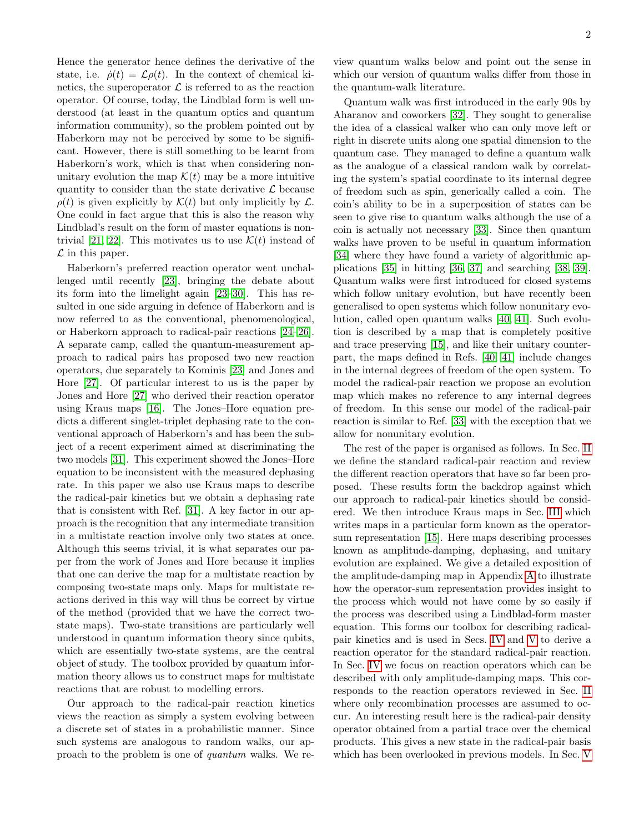Hence the generator hence defines the derivative of the state, i.e.  $\dot{\rho}(t) = \mathcal{L}\rho(t)$ . In the context of chemical kinetics, the superoperator  $\mathcal L$  is referred to as the reaction operator. Of course, today, the Lindblad form is well understood (at least in the quantum optics and quantum information community), so the problem pointed out by Haberkorn may not be perceived by some to be significant. However, there is still something to be learnt from Haberkorn's work, which is that when considering nonunitary evolution the map  $\mathcal{K}(t)$  may be a more intuitive quantity to consider than the state derivative  $\mathcal L$  because  $\rho(t)$  is given explicitly by  $\mathcal{K}(t)$  but only implicitly by  $\mathcal{L}$ . One could in fact argue that this is also the reason why Lindblad's result on the form of master equations is non-trivial [\[21,](#page-20-6) [22\]](#page-20-7). This motivates us to use  $\mathcal{K}(t)$  instead of  $\mathcal L$  in this paper.

Haberkorn's preferred reaction operator went unchallenged until recently [\[23\]](#page-20-8), bringing the debate about its form into the limelight again [\[23](#page-20-8)[–30\]](#page-20-9). This has resulted in one side arguing in defence of Haberkorn and is now referred to as the conventional, phenomenological, or Haberkorn approach to radical-pair reactions [\[24–](#page-20-10)[26\]](#page-20-11). A separate camp, called the quantum-measurement approach to radical pairs has proposed two new reaction operators, due separately to Kominis [\[23\]](#page-20-8) and Jones and Hore [\[27\]](#page-20-12). Of particular interest to us is the paper by Jones and Hore [\[27\]](#page-20-12) who derived their reaction operator using Kraus maps [\[16\]](#page-20-1). The Jones–Hore equation predicts a different singlet-triplet dephasing rate to the conventional approach of Haberkorn's and has been the subject of a recent experiment aimed at discriminating the two models [\[31\]](#page-20-13). This experiment showed the Jones–Hore equation to be inconsistent with the measured dephasing rate. In this paper we also use Kraus maps to describe the radical-pair kinetics but we obtain a dephasing rate that is consistent with Ref. [\[31\]](#page-20-13). A key factor in our approach is the recognition that any intermediate transition in a multistate reaction involve only two states at once. Although this seems trivial, it is what separates our paper from the work of Jones and Hore because it implies that one can derive the map for a multistate reaction by composing two-state maps only. Maps for multistate reactions derived in this way will thus be correct by virtue of the method (provided that we have the correct twostate maps). Two-state transitions are particularly well understood in quantum information theory since qubits, which are essentially two-state systems, are the central object of study. The toolbox provided by quantum information theory allows us to construct maps for multistate reactions that are robust to modelling errors.

Our approach to the radical-pair reaction kinetics views the reaction as simply a system evolving between a discrete set of states in a probabilistic manner. Since such systems are analogous to random walks, our approach to the problem is one of quantum walks. We review quantum walks below and point out the sense in which our version of quantum walks differ from those in the quantum-walk literature.

Quantum walk was first introduced in the early 90s by Aharanov and coworkers [\[32\]](#page-20-14). They sought to generalise the idea of a classical walker who can only move left or right in discrete units along one spatial dimension to the quantum case. They managed to define a quantum walk as the analogue of a classical random walk by correlating the system's spatial coordinate to its internal degree of freedom such as spin, generically called a coin. The coin's ability to be in a superposition of states can be seen to give rise to quantum walks although the use of a coin is actually not necessary [\[33\]](#page-20-15). Since then quantum walks have proven to be useful in quantum information [\[34\]](#page-20-16) where they have found a variety of algorithmic applications [\[35\]](#page-20-17) in hitting [\[36,](#page-20-18) [37\]](#page-20-19) and searching [\[38,](#page-20-20) [39\]](#page-20-21). Quantum walks were first introduced for closed systems which follow unitary evolution, but have recently been generalised to open systems which follow nonunitary evolution, called open quantum walks [\[40,](#page-20-22) [41\]](#page-20-23). Such evolution is described by a map that is completely positive and trace preserving [\[15\]](#page-20-0), and like their unitary counterpart, the maps defined in Refs. [\[40,](#page-20-22) [41\]](#page-20-23) include changes in the internal degrees of freedom of the open system. To model the radical-pair reaction we propose an evolution map which makes no reference to any internal degrees of freedom. In this sense our model of the radical-pair reaction is similar to Ref. [\[33\]](#page-20-15) with the exception that we allow for nonunitary evolution.

The rest of the paper is organised as follows. In Sec. [II](#page-2-0) we define the standard radical-pair reaction and review the different reaction operators that have so far been proposed. These results form the backdrop against which our approach to radical-pair kinetics should be considered. We then introduce Kraus maps in Sec. [III](#page-3-0) which writes maps in a particular form known as the operatorsum representation [\[15\]](#page-20-0). Here maps describing processes known as amplitude-damping, dephasing, and unitary evolution are explained. We give a detailed exposition of the amplitude-damping map in Appendix [A](#page-16-0) to illustrate how the operator-sum representation provides insight to the process which would not have come by so easily if the process was described using a Lindblad-form master equation. This forms our toolbox for describing radicalpair kinetics and is used in Secs. [IV](#page-7-0) and [V](#page-13-0) to derive a reaction operator for the standard radical-pair reaction. In Sec. [IV](#page-7-0) we focus on reaction operators which can be described with only amplitude-damping maps. This corresponds to the reaction operators reviewed in Sec. [II](#page-2-0) where only recombination processes are assumed to occur. An interesting result here is the radical-pair density operator obtained from a partial trace over the chemical products. This gives a new state in the radical-pair basis which has been overlooked in previous models. In Sec. [V](#page-13-0)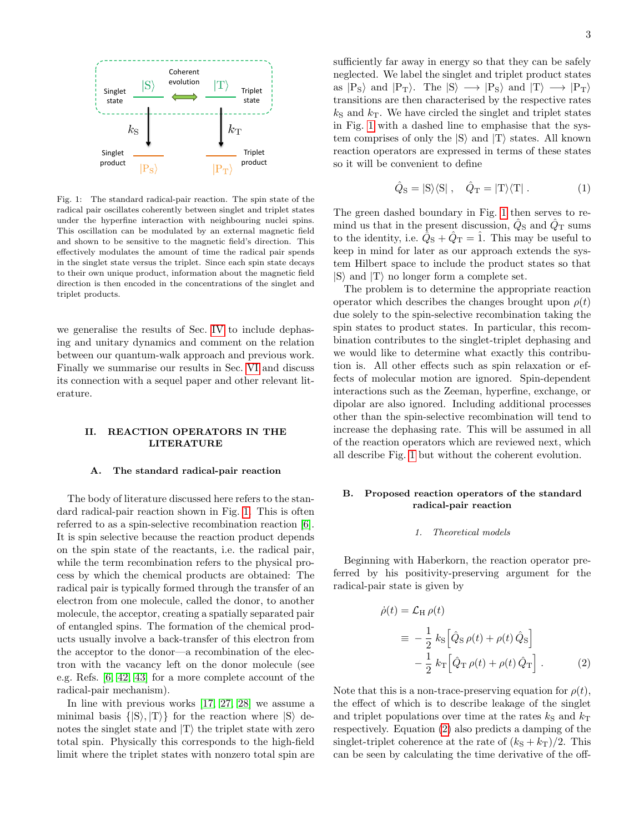

<span id="page-2-1"></span>Fig. 1: The standard radical-pair reaction. The spin state of the radical pair oscillates coherently between singlet and triplet states under the hyperfine interaction with neighbouring nuclei spins. This oscillation can be modulated by an external magnetic field and shown to be sensitive to the magnetic field's direction. This effectively modulates the amount of time the radical pair spends in the singlet state versus the triplet. Since each spin state decays to their own unique product, information about the magnetic field direction is then encoded in the concentrations of the singlet and triplet products.

we generalise the results of Sec. [IV](#page-7-0) to include dephasing and unitary dynamics and comment on the relation between our quantum-walk approach and previous work. Finally we summarise our results in Sec. [VI](#page-15-0) and discuss its connection with a sequel paper and other relevant literature.

# <span id="page-2-0"></span>II. REACTION OPERATORS IN THE LITERATURE

### <span id="page-2-5"></span>A. The standard radical-pair reaction

The body of literature discussed here refers to the standard radical-pair reaction shown in Fig. [1.](#page-2-1) This is often referred to as a spin-selective recombination reaction [\[6\]](#page-19-2). It is spin selective because the reaction product depends on the spin state of the reactants, i.e. the radical pair, while the term recombination refers to the physical process by which the chemical products are obtained: The radical pair is typically formed through the transfer of an electron from one molecule, called the donor, to another molecule, the acceptor, creating a spatially separated pair of entangled spins. The formation of the chemical products usually involve a back-transfer of this electron from the acceptor to the donor—a recombination of the electron with the vacancy left on the donor molecule (see e.g. Refs. [\[6,](#page-19-2) [42,](#page-20-24) [43\]](#page-20-25) for a more complete account of the radical-pair mechanism).

In line with previous works [\[17,](#page-20-2) [27,](#page-20-12) [28\]](#page-20-26) we assume a minimal basis  $\{ |S\rangle, |T\rangle \}$  for the reaction where  $|S\rangle$  denotes the singlet state and  $|T\rangle$  the triplet state with zero total spin. Physically this corresponds to the high-field limit where the triplet states with nonzero total spin are sufficiently far away in energy so that they can be safely neglected. We label the singlet and triplet product states as  $|P_S\rangle$  and  $|P_T\rangle$ . The  $|S\rangle \rightarrow |P_S\rangle$  and  $|T\rangle \rightarrow |P_T\rangle$ transitions are then characterised by the respective rates  $k<sub>S</sub>$  and  $k<sub>T</sub>$ . We have circled the singlet and triplet states in Fig. [1](#page-2-1) with a dashed line to emphasise that the system comprises of only the  $|S\rangle$  and  $|T\rangle$  states. All known reaction operators are expressed in terms of these states so it will be convenient to define

<span id="page-2-4"></span>
$$
\hat{Q}_{\rm S} = |{\rm S}\rangle\langle{\rm S}| \ , \quad \hat{Q}_{\rm T} = |{\rm T}\rangle\langle{\rm T}| \ . \tag{1}
$$

The green dashed boundary in Fig. [1](#page-2-1) then serves to remind us that in the present discussion,  $\hat{Q}_{\rm S}$  and  $\hat{Q}_{\rm T}$  sums to the identity, i.e.  $\hat{Q}_S + \hat{Q}_T = \hat{1}$ . This may be useful to keep in mind for later as our approach extends the system Hilbert space to include the product states so that  $|S\rangle$  and  $|T\rangle$  no longer form a complete set.

The problem is to determine the appropriate reaction operator which describes the changes brought upon  $\rho(t)$ due solely to the spin-selective recombination taking the spin states to product states. In particular, this recombination contributes to the singlet-triplet dephasing and we would like to determine what exactly this contribution is. All other effects such as spin relaxation or effects of molecular motion are ignored. Spin-dependent interactions such as the Zeeman, hyperfine, exchange, or dipolar are also ignored. Including additional processes other than the spin-selective recombination will tend to increase the dephasing rate. This will be assumed in all of the reaction operators which are reviewed next, which all describe Fig. [1](#page-2-1) but without the coherent evolution.

# <span id="page-2-3"></span>B. Proposed reaction operators of the standard radical-pair reaction

### <span id="page-2-6"></span>1. Theoretical models

Beginning with Haberkorn, the reaction operator preferred by his positivity-preserving argument for the radical-pair state is given by

<span id="page-2-2"></span>
$$
\dot{\rho}(t) = \mathcal{L}_{\rm H} \rho(t)
$$
\n
$$
\equiv -\frac{1}{2} k_{\rm S} \left[ \hat{Q}_{\rm S} \rho(t) + \rho(t) \hat{Q}_{\rm S} \right]
$$
\n
$$
-\frac{1}{2} k_{\rm T} \left[ \hat{Q}_{\rm T} \rho(t) + \rho(t) \hat{Q}_{\rm T} \right].
$$
\n(2)

Note that this is a non-trace-preserving equation for  $\rho(t)$ , the effect of which is to describe leakage of the singlet and triplet populations over time at the rates  $k<sub>S</sub>$  and  $k<sub>T</sub>$ respectively. Equation [\(2\)](#page-2-2) also predicts a damping of the singlet-triplet coherence at the rate of  $(k<sub>S</sub> + k<sub>T</sub>)/2$ . This can be seen by calculating the time derivative of the off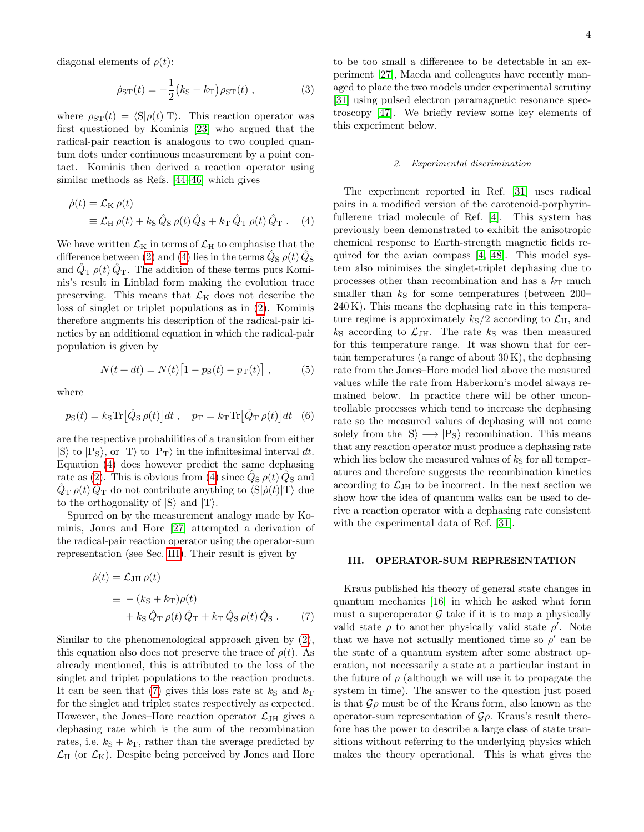diagonal elements of  $\rho(t)$ :

$$
\dot{\rho}_{ST}(t) = -\frac{1}{2} (k_{\rm S} + k_{\rm T}) \rho_{ST}(t) , \qquad (3)
$$

where  $\rho_{ST}(t) = \langle S|\rho(t)|T\rangle$ . This reaction operator was first questioned by Kominis [\[23\]](#page-20-8) who argued that the radical-pair reaction is analogous to two coupled quantum dots under continuous measurement by a point contact. Kominis then derived a reaction operator using similar methods as Refs. [\[44–](#page-20-27)[46\]](#page-20-28) which gives

$$
\dot{\rho}(t) = \mathcal{L}_{\rm K} \rho(t)
$$
  
\n
$$
\equiv \mathcal{L}_{\rm H} \rho(t) + k_{\rm S} \hat{Q}_{\rm S} \rho(t) \hat{Q}_{\rm S} + k_{\rm T} \hat{Q}_{\rm T} \rho(t) \hat{Q}_{\rm T} .
$$
 (4)

We have written  $\mathcal{L}_{K}$  in terms of  $\mathcal{L}_{H}$  to emphasise that the difference between [\(2\)](#page-2-2) and [\(4\)](#page-3-1) lies in the terms  $\hat{Q}_{\rm S}$   $\rho(t)$   $\hat{Q}_{\rm S}$ and  $\hat{Q}_{\rm T}$   $\rho(t)$   $\hat{Q}_{\rm T}$ . The addition of these terms puts Kominis's result in Linblad form making the evolution trace preserving. This means that  $\mathcal{L}_{K}$  does not describe the loss of singlet or triplet populations as in [\(2\)](#page-2-2). Kominis therefore augments his description of the radical-pair kinetics by an additional equation in which the radical-pair population is given by

$$
N(t + dt) = N(t) [1 - pS(t) - pT(t)], \qquad (5)
$$

where

$$
p_{\rm S}(t) = k_{\rm S} \text{Tr} \left[ \hat{Q}_{\rm S} \, \rho(t) \right] dt \;, \quad p_{\rm T} = k_{\rm T} \text{Tr} \left[ \hat{Q}_{\rm T} \, \rho(t) \right] dt \quad (6)
$$

are the respective probabilities of a transition from either  $|S\rangle$  to  $|P_{S}\rangle$ , or  $|T\rangle$  to  $|P_{T}\rangle$  in the infinitesimal interval dt. Equation [\(4\)](#page-3-1) does however predict the same dephasing rate as [\(2\)](#page-2-2). This is obvious from [\(4\)](#page-3-1) since  $\hat{Q}_\text{S} \rho(t) \hat{Q}_\text{S}$  and  $\hat{Q}_{\rm T}$   $\rho(t)$   $\hat{Q}_{\rm T}$  do not contribute anything to  $\langle S|\dot{\rho}(t)|T\rangle$  due to the orthogonality of  $|S\rangle$  and  $|T\rangle$ .

Spurred on by the measurement analogy made by Kominis, Jones and Hore [\[27\]](#page-20-12) attempted a derivation of the radical-pair reaction operator using the operator-sum representation (see Sec. [III\)](#page-3-0). Their result is given by

$$
\dot{\rho}(t) = \mathcal{L}_{\text{JH}} \rho(t)
$$
  
\n
$$
\equiv -(k_{\text{S}} + k_{\text{T}}) \rho(t)
$$
  
\n
$$
+ k_{\text{S}} \hat{Q}_{\text{T}} \rho(t) \hat{Q}_{\text{T}} + k_{\text{T}} \hat{Q}_{\text{S}} \rho(t) \hat{Q}_{\text{S}}.
$$
 (7)

Similar to the phenomenological approach given by [\(2\)](#page-2-2), this equation also does not preserve the trace of  $\rho(t)$ . As already mentioned, this is attributed to the loss of the singlet and triplet populations to the reaction products. It can be seen that [\(7\)](#page-3-2) gives this loss rate at  $k<sub>S</sub>$  and  $k<sub>T</sub>$ for the singlet and triplet states respectively as expected. However, the Jones–Hore reaction operator  $\mathcal{L}_{JH}$  gives a dephasing rate which is the sum of the recombination rates, i.e.  $k_{\rm S} + k_{\rm T}$ , rather than the average predicted by  $\mathcal{L}_{\rm H}$  (or  $\mathcal{L}_{\rm K}$ ). Despite being perceived by Jones and Hore

to be too small a difference to be detectable in an experiment [\[27\]](#page-20-12), Maeda and colleagues have recently managed to place the two models under experimental scrutiny [\[31\]](#page-20-13) using pulsed electron paramagnetic resonance spectroscopy [\[47\]](#page-20-29). We briefly review some key elements of this experiment below.

### <span id="page-3-3"></span>2. Experimental discrimination

<span id="page-3-4"></span><span id="page-3-1"></span>The experiment reported in Ref. [\[31\]](#page-20-13) uses radical pairs in a modified version of the carotenoid-porphyrinfullerene triad molecule of Ref. [\[4\]](#page-19-7). This system has previously been demonstrated to exhibit the anisotropic chemical response to Earth-strength magnetic fields required for the avian compass [\[4,](#page-19-7) [48\]](#page-20-30). This model system also minimises the singlet-triplet dephasing due to processes other than recombination and has a  $k_T$  much smaller than  $k<sub>S</sub>$  for some temperatures (between 200– 240 K). This means the dephasing rate in this temperature regime is approximately  $k<sub>S</sub>/2$  according to  $\mathcal{L}_{H}$ , and  $k<sub>S</sub>$  according to  $\mathcal{L}_{JH}$ . The rate  $k<sub>S</sub>$  was then measured for this temperature range. It was shown that for certain temperatures (a range of about  $30 K$ ), the dephasing rate from the Jones–Hore model lied above the measured values while the rate from Haberkorn's model always remained below. In practice there will be other uncontrollable processes which tend to increase the dephasing rate so the measured values of dephasing will not come solely from the  $|S\rangle \longrightarrow |P_S\rangle$  recombination. This means that any reaction operator must produce a dephasing rate which lies below the measured values of  $k<sub>S</sub>$  for all temperatures and therefore suggests the recombination kinetics according to  $\mathcal{L}_{JH}$  to be incorrect. In the next section we show how the idea of quantum walks can be used to derive a reaction operator with a dephasing rate consistent with the experimental data of Ref. [\[31\]](#page-20-13).

# <span id="page-3-0"></span>III. OPERATOR-SUM REPRESENTATION

<span id="page-3-2"></span>Kraus published his theory of general state changes in quantum mechanics [\[16\]](#page-20-1) in which he asked what form must a superoperator  $\mathcal G$  take if it is to map a physically valid state  $\rho$  to another physically valid state  $\rho'$ . Note that we have not actually mentioned time so  $\rho'$  can be the state of a quantum system after some abstract operation, not necessarily a state at a particular instant in the future of  $\rho$  (although we will use it to propagate the system in time). The answer to the question just posed is that  $\mathcal{G}\rho$  must be of the Kraus form, also known as the operator-sum representation of  $\mathcal{G}\rho$ . Kraus's result therefore has the power to describe a large class of state transitions without referring to the underlying physics which makes the theory operational. This is what gives the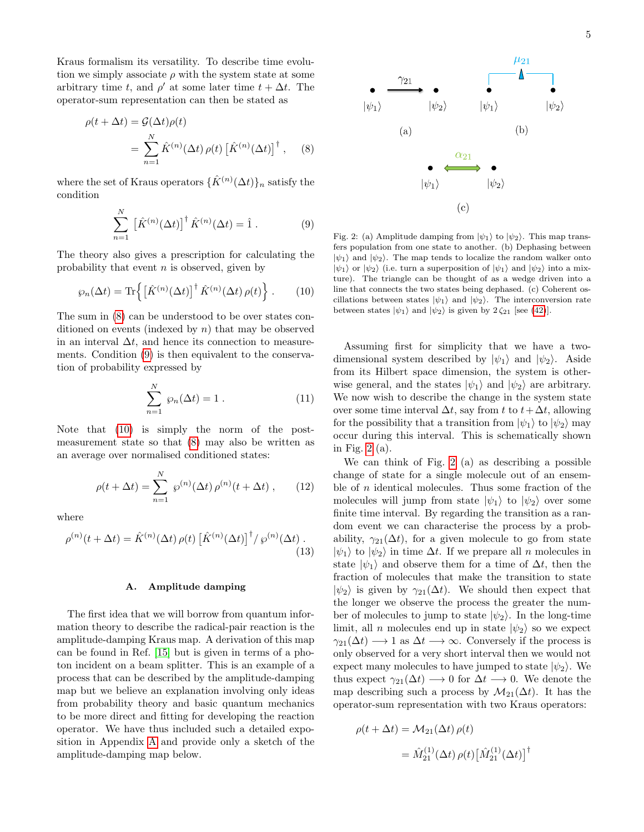Kraus formalism its versatility. To describe time evolution we simply associate  $\rho$  with the system state at some arbitrary time t, and  $\rho'$  at some later time  $t + \Delta t$ . The operator-sum representation can then be stated as

$$
\rho(t + \Delta t) = \mathcal{G}(\Delta t)\rho(t)
$$
  
= 
$$
\sum_{n=1}^{N} \hat{K}^{(n)}(\Delta t) \rho(t) \left[ \hat{K}^{(n)}(\Delta t) \right]^{\dagger}, \quad (8)
$$

where the set of Kraus operators  $\{\hat{K}^{(n)}(\Delta t)\}_n$  satisfy the condition

$$
\sum_{n=1}^{N} \left[ \hat{K}^{(n)}(\Delta t) \right]^{\dagger} \hat{K}^{(n)}(\Delta t) = \hat{1} \,. \tag{9}
$$

The theory also gives a prescription for calculating the probability that event  $n$  is observed, given by

$$
\wp_n(\Delta t) = \text{Tr}\left\{ \left[ \hat{K}^{(n)}(\Delta t) \right]^\dagger \hat{K}^{(n)}(\Delta t) \, \rho(t) \right\} \,. \tag{10}
$$

The sum in [\(8\)](#page-4-0) can be understood to be over states conditioned on events (indexed by  $n$ ) that may be observed in an interval  $\Delta t$ , and hence its connection to measurements. Condition [\(9\)](#page-4-1) is then equivalent to the conservation of probability expressed by

$$
\sum_{n=1}^{N} \varphi_n(\Delta t) = 1.
$$
 (11)

Note that [\(10\)](#page-4-2) is simply the norm of the postmeasurement state so that [\(8\)](#page-4-0) may also be written as an average over normalised conditioned states:

$$
\rho(t + \Delta t) = \sum_{n=1}^{N} \varphi^{(n)}(\Delta t) \rho^{(n)}(t + \Delta t) , \qquad (12)
$$

where

$$
\rho^{(n)}(t + \Delta t) = \hat{K}^{(n)}(\Delta t) \,\rho(t) \left[ \hat{K}^{(n)}(\Delta t) \right]^{\dagger} / \,\wp^{(n)}(\Delta t) \,. \tag{13}
$$

# <span id="page-4-5"></span>A. Amplitude damping

The first idea that we will borrow from quantum information theory to describe the radical-pair reaction is the amplitude-damping Kraus map. A derivation of this map can be found in Ref. [\[15\]](#page-20-0) but is given in terms of a photon incident on a beam splitter. This is an example of a process that can be described by the amplitude-damping map but we believe an explanation involving only ideas from probability theory and basic quantum mechanics to be more direct and fitting for developing the reaction operator. We have thus included such a detailed exposition in Appendix [A](#page-16-0) and provide only a sketch of the amplitude-damping map below.



<span id="page-4-3"></span><span id="page-4-2"></span><span id="page-4-1"></span><span id="page-4-0"></span>Fig. 2: (a) Amplitude damping from  $|\psi_1\rangle$  to  $|\psi_2\rangle$ . This map transfers population from one state to another. (b) Dephasing between  $|\psi_1\rangle$  and  $|\psi_2\rangle$ . The map tends to localize the random walker onto  $|\psi_1\rangle$  or  $|\psi_2\rangle$  (i.e. turn a superposition of  $|\psi_1\rangle$  and  $|\psi_2\rangle$  into a mixture). The triangle can be thought of as a wedge driven into a line that connects the two states being dephased. (c) Coherent oscillations between states  $|\psi_1\rangle$  and  $|\psi_2\rangle$ . The interconversion rate between states  $|\psi_1\rangle$  and  $|\psi_2\rangle$  is given by  $2\zeta_{21}$  [see [\(42\)](#page-6-0)].

 $(c)$ 

Assuming first for simplicity that we have a twodimensional system described by  $|\psi_1\rangle$  and  $|\psi_2\rangle$ . Aside from its Hilbert space dimension, the system is otherwise general, and the states  $|\psi_1\rangle$  and  $|\psi_2\rangle$  are arbitrary. We now wish to describe the change in the system state over some time interval  $\Delta t$ , say from t to  $t + \Delta t$ , allowing for the possibility that a transition from  $|\psi_1\rangle$  to  $|\psi_2\rangle$  may occur during this interval. This is schematically shown in Fig. [2](#page-4-3) (a).

<span id="page-4-4"></span>We can think of Fig. [2](#page-4-3) (a) as describing a possible change of state for a single molecule out of an ensemble of  $n$  identical molecules. Thus some fraction of the molecules will jump from state  $|\psi_1\rangle$  to  $|\psi_2\rangle$  over some finite time interval. By regarding the transition as a random event we can characterise the process by a probability,  $\gamma_{21}(\Delta t)$ , for a given molecule to go from state  $|\psi_1\rangle$  to  $|\psi_2\rangle$  in time  $\Delta t$ . If we prepare all n molecules in state  $|\psi_1\rangle$  and observe them for a time of  $\Delta t$ , then the fraction of molecules that make the transition to state  $|\psi_2\rangle$  is given by  $\gamma_{21}(\Delta t)$ . We should then expect that the longer we observe the process the greater the number of molecules to jump to state  $|\psi_2\rangle$ . In the long-time limit, all *n* molecules end up in state  $|\psi_2\rangle$  so we expect  $\gamma_{21}(\Delta t) \longrightarrow 1$  as  $\Delta t \longrightarrow \infty$ . Conversely if the process is only observed for a very short interval then we would not expect many molecules to have jumped to state  $|\psi_2\rangle$ . We thus expect  $\gamma_{21}(\Delta t) \longrightarrow 0$  for  $\Delta t \longrightarrow 0$ . We denote the map describing such a process by  $\mathcal{M}_{21}(\Delta t)$ . It has the operator-sum representation with two Kraus operators:

$$
\rho(t + \Delta t) = \mathcal{M}_{21}(\Delta t) \,\rho(t)
$$

$$
= \hat{M}_{21}^{(1)}(\Delta t) \,\rho(t) \left[\hat{M}_{21}^{(1)}(\Delta t)\right]^{\dagger}
$$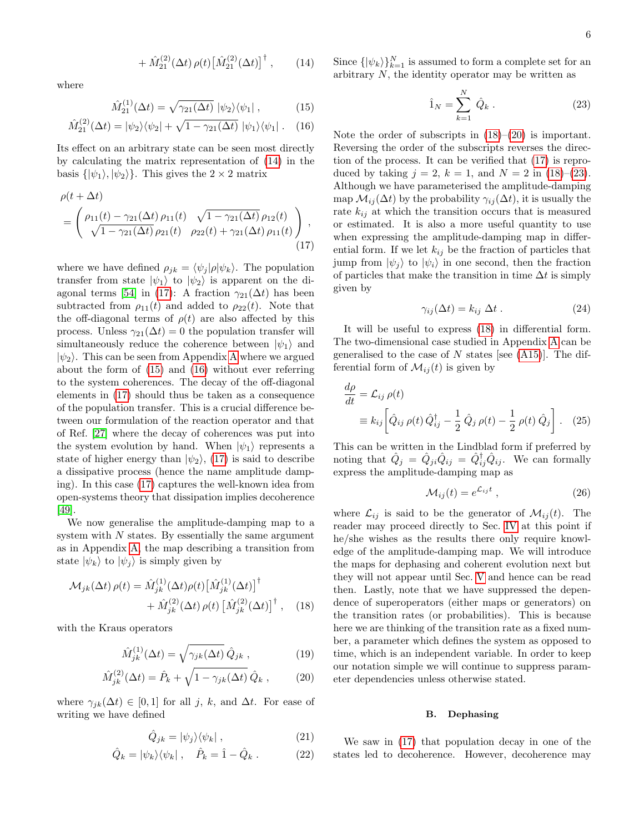$$
+\,\hat{M}_{21}^{(2)}(\Delta t)\,\rho(t)\big[\hat{M}_{21}^{(2)}(\Delta t)\big]^{\dagger}\,,\qquad(14)
$$

where

$$
\hat{M}_{21}^{(1)}(\Delta t) = \sqrt{\gamma_{21}(\Delta t)} \, |\psi_2\rangle\langle\psi_1| \,, \tag{15}
$$

$$
\hat{M}_{21}^{(2)}(\Delta t) = |\psi_2\rangle\langle\psi_2| + \sqrt{1 - \gamma_{21}(\Delta t)} |\psi_1\rangle\langle\psi_1|.
$$
 (16)

Its effect on an arbitrary state can be seen most directly by calculating the matrix representation of [\(14\)](#page-5-0) in the basis  $\{|\psi_1\rangle, |\psi_2\rangle\}$ . This gives the  $2 \times 2$  matrix

$$
\rho(t + \Delta t) = \begin{pmatrix} \rho_{11}(t) - \gamma_{21}(\Delta t) \rho_{11}(t) & \sqrt{1 - \gamma_{21}(\Delta t)} \rho_{12}(t) \\ \sqrt{1 - \gamma_{21}(\Delta t)} \rho_{21}(t) & \rho_{22}(t) + \gamma_{21}(\Delta t) \rho_{11}(t) \end{pmatrix},
$$
\n(17)

where we have defined  $\rho_{jk} = \langle \psi_j | \rho | \psi_k \rangle$ . The population transfer from state  $|\psi_1\rangle$  to  $|\psi_2\rangle$  is apparent on the di-agonal terms [\[54\]](#page-20-31) in [\(17\)](#page-5-1): A fraction  $\gamma_{21}(\Delta t)$  has been subtracted from  $\rho_{11}(t)$  and added to  $\rho_{22}(t)$ . Note that the off-diagonal terms of  $\rho(t)$  are also affected by this process. Unless  $\gamma_{21}(\Delta t) = 0$  the population transfer will simultaneously reduce the coherence between  $|\psi_1\rangle$  and  $|\psi_2\rangle$ . This can be seen from [A](#page-16-0)ppendix A where we argued about the form of [\(15\)](#page-5-2) and [\(16\)](#page-5-3) without ever referring to the system coherences. The decay of the off-diagonal elements in [\(17\)](#page-5-1) should thus be taken as a consequence of the population transfer. This is a crucial difference between our formulation of the reaction operator and that of Ref. [\[27\]](#page-20-12) where the decay of coherences was put into the system evolution by hand. When  $|\psi_1\rangle$  represents a state of higher energy than  $|\psi_2\rangle$ , [\(17\)](#page-5-1) is said to describe a dissipative process (hence the name amplitude damping). In this case [\(17\)](#page-5-1) captures the well-known idea from open-systems theory that dissipation implies decoherence [\[49\]](#page-20-32).

We now generalise the amplitude-damping map to a system with  $N$  states. By essentially the same argument as in Appendix [A,](#page-16-0) the map describing a transition from state  $|\psi_k\rangle$  to  $|\psi_i\rangle$  is simply given by

$$
\mathcal{M}_{jk}(\Delta t) \rho(t) = \hat{M}_{jk}^{(1)}(\Delta t) \rho(t) \left[ \hat{M}_{jk}^{(1)}(\Delta t) \right]^{\dagger} + \hat{M}_{jk}^{(2)}(\Delta t) \rho(t) \left[ \hat{M}_{jk}^{(2)}(\Delta t) \right]^{\dagger}, \quad (18)
$$

with the Kraus operators

$$
\hat{M}_{jk}^{(1)}(\Delta t) = \sqrt{\gamma_{jk}(\Delta t)} \,\hat{Q}_{jk} \,, \tag{19}
$$

$$
\hat{M}_{jk}^{(2)}(\Delta t) = \hat{P}_k + \sqrt{1 - \gamma_{jk}(\Delta t)} \hat{Q}_k , \qquad (20)
$$

where  $\gamma_{jk}(\Delta t) \in [0,1]$  for all j, k, and  $\Delta t$ . For ease of writing we have defined

$$
\hat{Q}_{jk} = |\psi_j\rangle\langle\psi_k| \,,\tag{21}
$$

$$
\hat{Q}_k = |\psi_k\rangle\langle\psi_k| \ , \quad \hat{P}_k = \hat{1} - \hat{Q}_k \ . \tag{22}
$$

<span id="page-5-0"></span>Since  $\{\ket{\psi_k}\}_{k=1}^N$  is assumed to form a complete set for an arbitrary  $N$ , the identity operator may be written as

<span id="page-5-6"></span>
$$
\hat{1}_N = \sum_{k=1}^N \hat{Q}_k . \tag{23}
$$

<span id="page-5-3"></span><span id="page-5-2"></span>Note the order of subscripts in  $(18)$ – $(20)$  is important. Reversing the order of the subscripts reverses the direction of the process. It can be verified that [\(17\)](#page-5-1) is reproduced by taking  $j = 2$ ,  $k = 1$ , and  $N = 2$  in [\(18\)](#page-5-4)–[\(23\)](#page-5-6). Although we have parameterised the amplitude-damping map  $\mathcal{M}_{ij}(\Delta t)$  by the probability  $\gamma_{ij}(\Delta t)$ , it is usually the rate  $k_{ij}$  at which the transition occurs that is measured or estimated. It is also a more useful quantity to use when expressing the amplitude-damping map in differential form. If we let  $k_{ij}$  be the fraction of particles that jump from  $|\psi_j\rangle$  to  $|\psi_i\rangle$  in one second, then the fraction of particles that make the transition in time  $\Delta t$  is simply given by

<span id="page-5-10"></span>
$$
\gamma_{ij}(\Delta t) = k_{ij} \; \Delta t \; . \tag{24}
$$

<span id="page-5-1"></span>It will be useful to express [\(18\)](#page-5-4) in differential form. The two-dimensional case studied in Appendix [A](#page-16-0) can be generalised to the case of N states [see  $(A15)$ ]. The differential form of  $\mathcal{M}_{ii}(t)$  is given by

$$
\frac{d\rho}{dt} = \mathcal{L}_{ij} \,\rho(t)
$$
\n
$$
\equiv k_{ij} \left[ \hat{Q}_{ij} \,\rho(t) \,\hat{Q}_{ij}^{\dagger} - \frac{1}{2} \,\hat{Q}_{j} \,\rho(t) - \frac{1}{2} \,\rho(t) \,\hat{Q}_{j} \right]. \tag{25}
$$

This can be written in the Lindblad form if preferred by noting that  $\hat{Q}_j = \hat{Q}_{ji}\hat{Q}_{ij} = \hat{Q}_{ij}^{\dagger}\hat{Q}_{ij}$ . We can formally express the amplitude-damping map as

<span id="page-5-8"></span><span id="page-5-7"></span>
$$
\mathcal{M}_{ij}(t) = e^{\mathcal{L}_{ij}t} \,, \tag{26}
$$

<span id="page-5-4"></span>where  $\mathcal{L}_{ij}$  is said to be the generator of  $\mathcal{M}_{ij}(t)$ . The reader may proceed directly to Sec. [IV](#page-7-0) at this point if he/she wishes as the results there only require knowledge of the amplitude-damping map. We will introduce the maps for dephasing and coherent evolution next but they will not appear until Sec. [V](#page-13-0) and hence can be read then. Lastly, note that we have suppressed the dependence of superoperators (either maps or generators) on the transition rates (or probabilities). This is because here we are thinking of the transition rate as a fixed number, a parameter which defines the system as opposed to time, which is an independent variable. In order to keep our notation simple we will continue to suppress parameter dependencies unless otherwise stated.

### <span id="page-5-11"></span>B. Dephasing

<span id="page-5-9"></span><span id="page-5-5"></span>We saw in [\(17\)](#page-5-1) that population decay in one of the states led to decoherence. However, decoherence may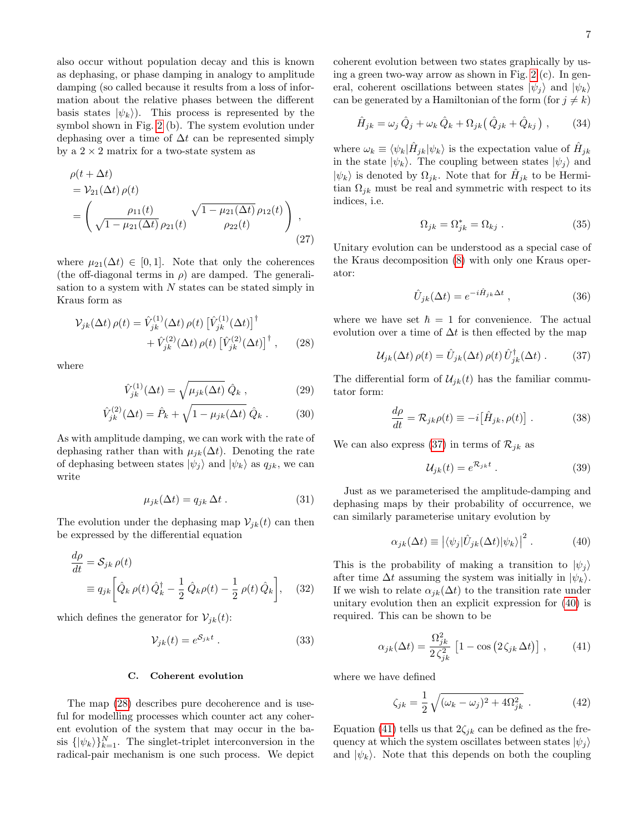7

also occur without population decay and this is known as dephasing, or phase damping in analogy to amplitude damping (so called because it results from a loss of information about the relative phases between the different basis states  $|\psi_k\rangle$ ). This process is represented by the symbol shown in Fig. [2](#page-4-3) (b). The system evolution under dephasing over a time of  $\Delta t$  can be represented simply by a  $2 \times 2$  matrix for a two-state system as

$$
\rho(t + \Delta t) = \mathcal{V}_{21}(\Delta t) \rho(t) \n= \left( \frac{\rho_{11}(t)}{\sqrt{1 - \mu_{21}(\Delta t)} \rho_{21}(t)} \frac{\sqrt{1 - \mu_{21}(\Delta t)} \rho_{12}(t)}{\rho_{22}(t)} \right),
$$
\n(27)

where  $\mu_{21}(\Delta t) \in [0,1]$ . Note that only the coherences (the off-diagonal terms in  $\rho$ ) are damped. The generalisation to a system with  $N$  states can be stated simply in Kraus form as

$$
\mathcal{V}_{jk}(\Delta t) \rho(t) = \hat{V}_{jk}^{(1)}(\Delta t) \rho(t) \left[ \hat{V}_{jk}^{(1)}(\Delta t) \right]^{\dagger} + \hat{V}_{jk}^{(2)}(\Delta t) \rho(t) \left[ \hat{V}_{jk}^{(2)}(\Delta t) \right]^{\dagger}, \qquad (28)
$$

where

$$
\hat{V}_{jk}^{(1)}(\Delta t) = \sqrt{\mu_{jk}(\Delta t)} \hat{Q}_k , \qquad (29)
$$

$$
\hat{V}_{jk}^{(2)}(\Delta t) = \hat{P}_k + \sqrt{1 - \mu_{jk}(\Delta t)} \hat{Q}_k .
$$
 (30)

As with amplitude damping, we can work with the rate of dephasing rather than with  $\mu_{jk}(\Delta t)$ . Denoting the rate of dephasing between states  $|\psi_j\rangle$  and  $|\psi_k\rangle$  as  $q_{jk}$ , we can write

$$
\mu_{jk}(\Delta t) = q_{jk} \, \Delta t \,. \tag{31}
$$

The evolution under the dephasing map  $\mathcal{V}_{jk}(t)$  can then be expressed by the differential equation

$$
\frac{d\rho}{dt} = \mathcal{S}_{jk}\,\rho(t)
$$
\n
$$
\equiv q_{jk} \left[ \hat{Q}_k \,\rho(t) \,\hat{Q}_k^\dagger - \frac{1}{2} \,\hat{Q}_k \rho(t) - \frac{1}{2} \,\rho(t) \,\hat{Q}_k \right], \quad (32)
$$

which defines the generator for  $\mathcal{V}_{jk}(t)$ :

$$
\mathcal{V}_{jk}(t) = e^{\mathcal{S}_{jk}t} \tag{33}
$$

### C. Coherent evolution

The map [\(28\)](#page-6-1) describes pure decoherence and is useful for modelling processes which counter act any coherent evolution of the system that may occur in the basis  $\{\ket{\psi_k}\}_{k=1}^N$ . The singlet-triplet interconversion in the radical-pair mechanism is one such process. We depict

coherent evolution between two states graphically by using a green two-way arrow as shown in Fig. [2](#page-4-3) (c). In general, coherent oscillations between states  $|\psi_i\rangle$  and  $|\psi_k\rangle$ can be generated by a Hamiltonian of the form (for  $j \neq k$ )

$$
\hat{H}_{jk} = \omega_j \,\hat{Q}_j + \omega_k \,\hat{Q}_k + \Omega_{jk} \big(\,\hat{Q}_{jk} + \hat{Q}_{kj}\,\big) \,,\tag{34}
$$

where  $\omega_k \equiv \langle \psi_k | \hat{H}_{jk} | \psi_k \rangle$  is the expectation value of  $\hat{H}_{jk}$ in the state  $|\psi_k\rangle$ . The coupling between states  $|\psi_j\rangle$  and  $|\psi_k\rangle$  is denoted by  $\Omega_{jk}$ . Note that for  $\hat{H}_{jk}$  to be Hermitian  $\Omega_{jk}$  must be real and symmetric with respect to its indices, i.e.

$$
\Omega_{jk} = \Omega_{jk}^* = \Omega_{kj} . \tag{35}
$$

<span id="page-6-9"></span>Unitary evolution can be understood as a special case of the Kraus decomposition [\(8\)](#page-4-0) with only one Kraus operator:

<span id="page-6-2"></span>
$$
\hat{U}_{jk}(\Delta t) = e^{-i\hat{H}_{jk}\Delta t} , \qquad (36)
$$

<span id="page-6-1"></span>where we have set  $\hbar = 1$  for convenience. The actual evolution over a time of  $\Delta t$  is then effected by the map

$$
\mathcal{U}_{jk}(\Delta t) \rho(t) = \hat{U}_{jk}(\Delta t) \rho(t) \hat{U}_{jk}^{\dagger}(\Delta t) . \qquad (37)
$$

The differential form of  $\mathcal{U}_{jk}(t)$  has the familiar commutator form:

$$
\frac{d\rho}{dt} = \mathcal{R}_{jk}\rho(t) \equiv -i\big[\hat{H}_{jk}, \rho(t)\big] \ . \tag{38}
$$

We can also express [\(37\)](#page-6-2) in terms of  $\mathcal{R}_{jk}$  as

<span id="page-6-8"></span><span id="page-6-7"></span><span id="page-6-3"></span>
$$
\mathcal{U}_{jk}(t) = e^{\mathcal{R}_{jk}t} \tag{39}
$$

Just as we parameterised the amplitude-damping and dephasing maps by their probability of occurrence, we can similarly parameterise unitary evolution by

$$
\alpha_{jk}(\Delta t) \equiv |\langle \psi_j | \hat{U}_{jk}(\Delta t) | \psi_k \rangle|^2 . \tag{40}
$$

<span id="page-6-5"></span>This is the probability of making a transition to  $|\psi_i\rangle$ after time  $\Delta t$  assuming the system was initially in  $|\psi_k\rangle$ . If we wish to relate  $\alpha_{ik}(\Delta t)$  to the transition rate under unitary evolution then an explicit expression for [\(40\)](#page-6-3) is required. This can be shown to be

$$
\alpha_{jk}(\Delta t) = \frac{\Omega_{jk}^2}{2\,\zeta_{jk}^2} \left[1 - \cos\left(2\,\zeta_{jk}\,\Delta t\right)\right],\tag{41}
$$

<span id="page-6-6"></span>where we have defined

<span id="page-6-4"></span><span id="page-6-0"></span>
$$
\zeta_{jk} = \frac{1}{2} \sqrt{(\omega_k - \omega_j)^2 + 4\Omega_{jk}^2} \ . \tag{42}
$$

Equation [\(41\)](#page-6-4) tells us that  $2\zeta_{jk}$  can be defined as the frequency at which the system oscillates between states  $|\psi_i\rangle$ and  $|\psi_k\rangle$ . Note that this depends on both the coupling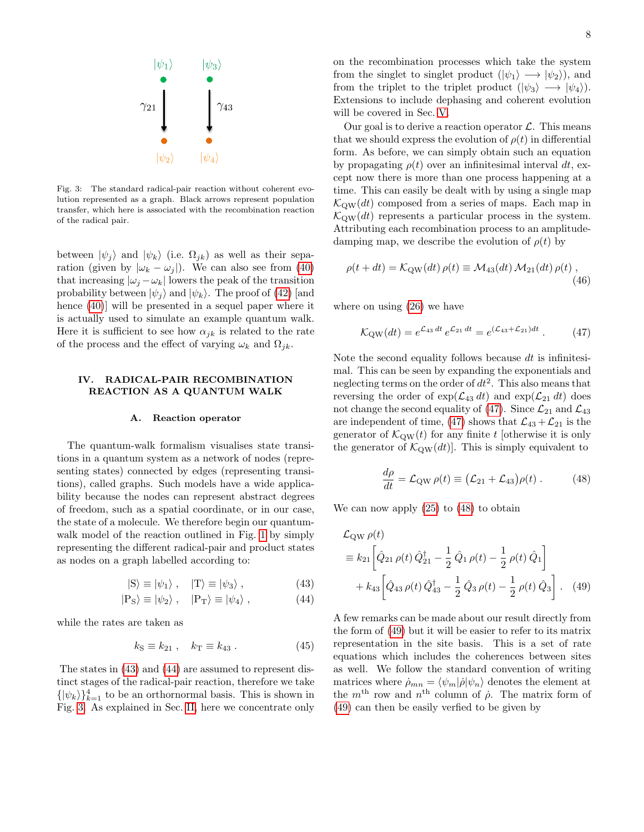

<span id="page-7-3"></span>Fig. 3: The standard radical-pair reaction without coherent evolution represented as a graph. Black arrows represent population transfer, which here is associated with the recombination reaction of the radical pair.

between  $|\psi_j\rangle$  and  $|\psi_k\rangle$  (i.e.  $\Omega_{jk}$ ) as well as their separation (given by  $|\omega_k - \omega_i|$ ). We can also see from [\(40\)](#page-6-3) that increasing  $|\omega_j - \omega_k|$  lowers the peak of the transition probability between  $|\psi_i\rangle$  and  $|\psi_k\rangle$ . The proof of [\(42\)](#page-6-0) [and hence [\(40\)](#page-6-3)] will be presented in a sequel paper where it is actually used to simulate an example quantum walk. Here it is sufficient to see how  $\alpha_{ik}$  is related to the rate of the process and the effect of varying  $\omega_k$  and  $\Omega_{jk}$ .

# <span id="page-7-0"></span>IV. RADICAL-PAIR RECOMBINATION REACTION AS A QUANTUM WALK

### A. Reaction operator

The quantum-walk formalism visualises state transitions in a quantum system as a network of nodes (representing states) connected by edges (representing transitions), called graphs. Such models have a wide applicability because the nodes can represent abstract degrees of freedom, such as a spatial coordinate, or in our case, the state of a molecule. We therefore begin our quantum-walk model of the reaction outlined in Fig. [1](#page-2-1) by simply representing the different radical-pair and product states as nodes on a graph labelled according to:

$$
|S\rangle \equiv |\psi_1\rangle \ , \quad |T\rangle \equiv |\psi_3\rangle \ , \tag{43}
$$

$$
|P_{\rm S}\rangle \equiv |\psi_2\rangle \ , \quad |P_{\rm T}\rangle \equiv |\psi_4\rangle \ , \tag{44}
$$

while the rates are taken as

$$
k_{\rm S} \equiv k_{21} , \quad k_{\rm T} \equiv k_{43} . \tag{45}
$$

The states in [\(43\)](#page-7-1) and [\(44\)](#page-7-2) are assumed to represent distinct stages of the radical-pair reaction, therefore we take  $\{|\psi_k\rangle\}_{k=1}^4$  to be an orthornormal basis. This is shown in Fig. [3.](#page-7-3) As explained in Sec. [II,](#page-2-0) here we concentrate only

on the recombination processes which take the system from the singlet to singlet product  $(|\psi_1\rangle \longrightarrow |\psi_2\rangle)$ , and from the triplet to the triplet product  $(|\psi_3\rangle \longrightarrow |\psi_4\rangle)$ . Extensions to include dephasing and coherent evolution will be covered in Sec. [V.](#page-13-0)

Our goal is to derive a reaction operator  $\mathcal{L}$ . This means that we should express the evolution of  $\rho(t)$  in differential form. As before, we can simply obtain such an equation by propagating  $\rho(t)$  over an infinitesimal interval dt, except now there is more than one process happening at a time. This can easily be dealt with by using a single map  $\mathcal{K}_{\text{QW}}(dt)$  composed from a series of maps. Each map in  $\mathcal{K}_{\text{QW}}(dt)$  represents a particular process in the system. Attributing each recombination process to an amplitudedamping map, we describe the evolution of  $\rho(t)$  by

$$
\rho(t+dt) = \mathcal{K}_{\text{QW}}(dt) \,\rho(t) \equiv \mathcal{M}_{43}(dt) \,\mathcal{M}_{21}(dt) \,\rho(t) \,,\tag{46}
$$

where on using [\(26\)](#page-5-7) we have

<span id="page-7-8"></span><span id="page-7-4"></span>
$$
\mathcal{K}_{\rm QW}(dt) = e^{\mathcal{L}_{43} dt} e^{\mathcal{L}_{21} dt} = e^{(\mathcal{L}_{43} + \mathcal{L}_{21})dt} \,. \tag{47}
$$

Note the second equality follows because  $dt$  is infinitesimal. This can be seen by expanding the exponentials and neglecting terms on the order of  $dt^2$ . This also means that reversing the order of  $\exp(\mathcal{L}_{43} dt)$  and  $\exp(\mathcal{L}_{21} dt)$  does not change the second equality of [\(47\)](#page-7-4). Since  $\mathcal{L}_{21}$  and  $\mathcal{L}_{43}$ are independent of time, [\(47\)](#page-7-4) shows that  $\mathcal{L}_{43} + \mathcal{L}_{21}$  is the generator of  $\mathcal{K}_{\text{OW}}(t)$  for any finite t [otherwise it is only the generator of  $\mathcal{K}_{\text{QW}}(dt)$ . This is simply equivalent to

<span id="page-7-6"></span><span id="page-7-5"></span>
$$
\frac{d\rho}{dt} = \mathcal{L}_{\text{QW}} \,\rho(t) \equiv \left(\mathcal{L}_{21} + \mathcal{L}_{43}\right) \rho(t) \,. \tag{48}
$$

We can now apply  $(25)$  to  $(48)$  to obtain

$$
\mathcal{L}_{\text{QW}} \rho(t)
$$
\n
$$
\equiv k_{21} \left[ \hat{Q}_{21} \rho(t) \hat{Q}_{21}^{\dagger} - \frac{1}{2} \hat{Q}_{1} \rho(t) - \frac{1}{2} \rho(t) \hat{Q}_{1} \right]
$$
\n
$$
+ k_{43} \left[ \hat{Q}_{43} \rho(t) \hat{Q}_{43}^{\dagger} - \frac{1}{2} \hat{Q}_{3} \rho(t) - \frac{1}{2} \rho(t) \hat{Q}_{3} \right]. \quad (49)
$$

<span id="page-7-7"></span><span id="page-7-2"></span><span id="page-7-1"></span>A few remarks can be made about our result directly from the form of [\(49\)](#page-7-6) but it will be easier to refer to its matrix representation in the site basis. This is a set of rate equations which includes the coherences between sites as well. We follow the standard convention of writing matrices where  $\dot{\rho}_{mn} = \langle \psi_m | \dot{\rho} | \psi_n \rangle$  denotes the element at the  $m<sup>th</sup>$  row and  $n<sup>th</sup>$  column of  $\dot{\rho}$ . The matrix form of [\(49\)](#page-7-6) can then be easily verfied to be given by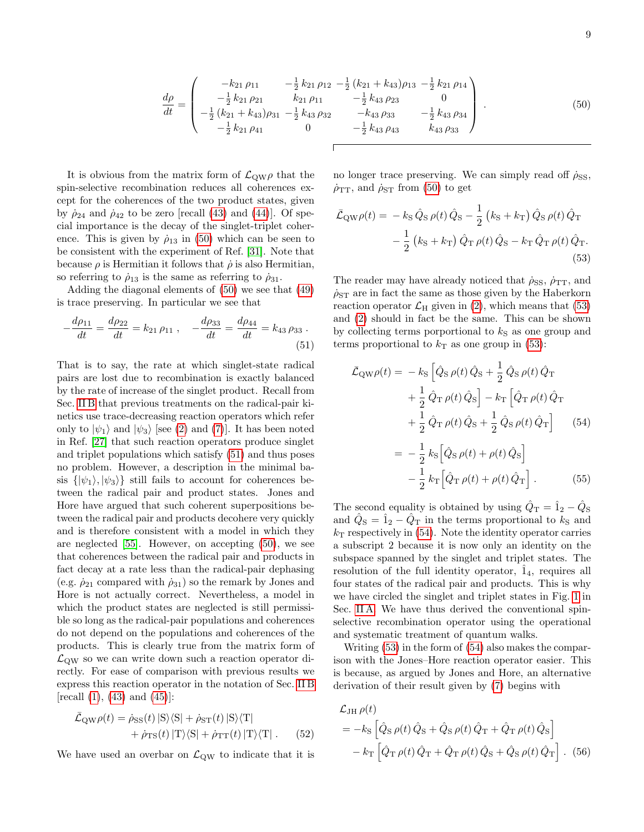$$
\frac{d\rho}{dt} = \begin{pmatrix}\n-k_{21}\rho_{11} & -\frac{1}{2}k_{21}\rho_{12} - \frac{1}{2}(k_{21} + k_{43})\rho_{13} - \frac{1}{2}k_{21}\rho_{14} \\
-\frac{1}{2}k_{21}\rho_{21} & k_{21}\rho_{11} & -\frac{1}{2}k_{43}\rho_{23} & 0 \\
-\frac{1}{2}(k_{21} + k_{43})\rho_{31} - \frac{1}{2}k_{43}\rho_{32} & -k_{43}\rho_{33} & -\frac{1}{2}k_{43}\rho_{34} \\
-\frac{1}{2}k_{21}\rho_{41} & 0 & -\frac{1}{2}k_{43}\rho_{43} & k_{43}\rho_{33}\n\end{pmatrix} .
$$
\n(50)

It is obvious from the matrix form of  $\mathcal{L}_{QW}\rho$  that the spin-selective recombination reduces all coherences except for the coherences of the two product states, given by  $\dot{\rho}_{24}$  and  $\dot{\rho}_{42}$  to be zero [recall [\(43\)](#page-7-1) and [\(44\)](#page-7-2)]. Of special importance is the decay of the singlet-triplet coherence. This is given by  $\rho_{13}$  in [\(50\)](#page-8-0) which can be seen to be consistent with the experiment of Ref. [\[31\]](#page-20-13). Note that because  $\rho$  is Hermitian it follows that  $\dot{\rho}$  is also Hermitian, so referring to  $\dot{\rho}_{13}$  is the same as referring to  $\dot{\rho}_{31}$ .

Adding the diagonal elements of [\(50\)](#page-8-0) we see that [\(49\)](#page-7-6) is trace preserving. In particular we see that

$$
-\frac{d\rho_{11}}{dt} = \frac{d\rho_{22}}{dt} = k_{21}\,\rho_{11} \,, \quad -\frac{d\rho_{33}}{dt} = \frac{d\rho_{44}}{dt} = k_{43}\,\rho_{33} \,.
$$
\n(51)

That is to say, the rate at which singlet-state radical pairs are lost due to recombination is exactly balanced by the rate of increase of the singlet product. Recall from Sec. [II B](#page-2-3) that previous treatments on the radical-pair kinetics use trace-decreasing reaction operators which refer only to  $|\psi_1\rangle$  and  $|\psi_3\rangle$  [see [\(2\)](#page-2-2) and [\(7\)](#page-3-2)]. It has been noted in Ref. [\[27\]](#page-20-12) that such reaction operators produce singlet and triplet populations which satisfy [\(51\)](#page-8-1) and thus poses no problem. However, a description in the minimal basis  $\{|\psi_1\rangle, |\psi_3\rangle\}$  still fails to account for coherences between the radical pair and product states. Jones and Hore have argued that such coherent superpositions between the radical pair and products decohere very quickly and is therefore consistent with a model in which they are neglected [\[55\]](#page-20-33). However, on accepting [\(50\)](#page-8-0), we see that coherences between the radical pair and products in fact decay at a rate less than the radical-pair dephasing (e.g.  $\dot{\rho}_{21}$  compared with  $\dot{\rho}_{31}$ ) so the remark by Jones and Hore is not actually correct. Nevertheless, a model in which the product states are neglected is still permissible so long as the radical-pair populations and coherences do not depend on the populations and coherences of the products. This is clearly true from the matrix form of  $\mathcal{L}_{\text{QW}}$  so we can write down such a reaction operator directly. For ease of comparison with previous results we express this reaction operator in the notation of Sec. [II B](#page-2-3)  $[recall (1), (43) and (45)]:$  $[recall (1), (43) and (45)]:$  $[recall (1), (43) and (45)]:$  $[recall (1), (43) and (45)]:$  $[recall (1), (43) and (45)]:$  $[recall (1), (43) and (45)]:$  $[recall (1), (43) and (45)]:$ 

$$
\bar{\mathcal{L}}_{\text{QW}}\rho(t) = \dot{\rho}_{\text{SS}}(t) |S\rangle\langle S| + \dot{\rho}_{\text{ST}}(t) |S\rangle\langle T| + \dot{\rho}_{\text{TS}}(t) |T\rangle\langle S| + \dot{\rho}_{\text{TT}}(t) |T\rangle\langle T|.
$$
 (52)

We have used an overbar on  $\mathcal{L}_{\text{QW}}$  to indicate that it is

<span id="page-8-0"></span>no longer trace preserving. We can simply read off  $\rho_{SS}$ ,  $\dot{\rho}_{TT}$ , and  $\dot{\rho}_{ST}$  from [\(50\)](#page-8-0) to get

<span id="page-8-2"></span>
$$
\bar{\mathcal{L}}_{QW}\rho(t) = -k_{S}\,\hat{Q}_{S}\,\rho(t)\,\hat{Q}_{S} - \frac{1}{2}\left(k_{S} + k_{T}\right)\hat{Q}_{S}\,\rho(t)\,\hat{Q}_{T} \n- \frac{1}{2}\left(k_{S} + k_{T}\right)\hat{Q}_{T}\,\rho(t)\,\hat{Q}_{S} - k_{T}\,\hat{Q}_{T}\,\rho(t)\,\hat{Q}_{T}.
$$
\n(53)

The reader may have already noticed that  $\dot{\rho}_{SS}$ ,  $\dot{\rho}_{TT}$ , and  $\rho_{ST}$  are in fact the same as those given by the Haberkorn reaction operator  $\mathcal{L}_{\rm H}$  given in [\(2\)](#page-2-2), which means that [\(53\)](#page-8-2) and [\(2\)](#page-2-2) should in fact be the same. This can be shown by collecting terms porportional to  $k<sub>S</sub>$  as one group and terms proportional to  $k<sub>T</sub>$  as one group in [\(53\)](#page-8-2):

<span id="page-8-1"></span>
$$
\bar{\mathcal{L}}_{QW}\rho(t) = -k_{S} \left[ \hat{Q}_{S}\,\rho(t)\,\hat{Q}_{S} + \frac{1}{2}\,\hat{Q}_{S}\,\rho(t)\,\hat{Q}_{T}\n+ \frac{1}{2}\,\hat{Q}_{T}\,\rho(t)\,\hat{Q}_{S}\right] - k_{T} \left[ \hat{Q}_{T}\,\rho(t)\,\hat{Q}_{T}\n+ \frac{1}{2}\,\hat{Q}_{T}\,\rho(t)\,\hat{Q}_{S} + \frac{1}{2}\,\hat{Q}_{S}\,\rho(t)\,\hat{Q}_{T}\right] \tag{54}
$$
\n
$$
= -\frac{1}{2}\,k_{S}\left[ \hat{Q}_{S}\,\rho(t) + \rho(t)\,\hat{Q}_{S}\right]
$$

<span id="page-8-5"></span><span id="page-8-3"></span>
$$
-\frac{1}{2}k_{\mathrm{T}}\left[\hat{Q}_{\mathrm{T}}\,\rho(t)+\rho(t)\,\hat{Q}_{\mathrm{T}}\right].\tag{55}
$$

The second equality is obtained by using  $\hat{Q}_{\text{T}} = \hat{1}_2 - \hat{Q}_{\text{S}}$ and  $\hat{Q}_{\text{S}} = \hat{1}_2 - \hat{Q}_{\text{T}}$  in the terms proportional to  $k_{\text{S}}$  and  $k<sub>T</sub>$  respectively in [\(54\)](#page-8-3). Note the identity operator carries a subscript 2 because it is now only an identity on the subspace spanned by the singlet and triplet states. The resolution of the full identity operator,  $\hat{1}_4$ , requires all four states of the radical pair and products. This is why we have circled the singlet and triplet states in Fig. [1](#page-2-1) in Sec. [II A.](#page-2-5) We have thus derived the conventional spinselective recombination operator using the operational and systematic treatment of quantum walks.

Writing [\(53\)](#page-8-2) in the form of [\(54\)](#page-8-3) also makes the comparison with the Jones–Hore reaction operator easier. This is because, as argued by Jones and Hore, an alternative derivation of their result given by [\(7\)](#page-3-2) begins with

<span id="page-8-4"></span>
$$
\mathcal{L}_{\text{JH}} \rho(t)
$$
\n
$$
= -k_{\text{S}} \left[ \hat{Q}_{\text{S}} \rho(t) \hat{Q}_{\text{S}} + \hat{Q}_{\text{S}} \rho(t) \hat{Q}_{\text{T}} + \hat{Q}_{\text{T}} \rho(t) \hat{Q}_{\text{S}} \right]
$$
\n
$$
-k_{\text{T}} \left[ \hat{Q}_{\text{T}} \rho(t) \hat{Q}_{\text{T}} + \hat{Q}_{\text{T}} \rho(t) \hat{Q}_{\text{S}} + \hat{Q}_{\text{S}} \rho(t) \hat{Q}_{\text{T}} \right].
$$
\n(56)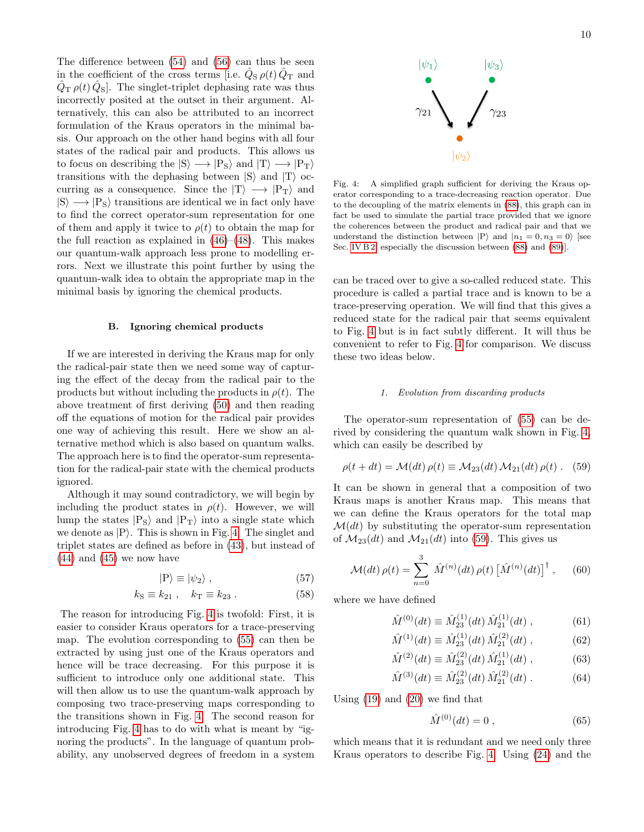The difference between [\(54\)](#page-8-3) and [\(56\)](#page-8-4) can thus be seen in the coefficient of the cross terms [i.e.  $\hat{Q}_{S} \rho(t) \hat{Q}_{T}$  and  $\hat{Q}_{\text{T}}\rho(t)\hat{Q}_{\text{S}}$ . The singlet-triplet dephasing rate was thus incorrectly posited at the outset in their argument. Alternatively, this can also be attributed to an incorrect formulation of the Kraus operators in the minimal basis. Our approach on the other hand begins with all four states of the radical pair and products. This allows us to focus on describing the  $|S\rangle \longrightarrow |P_S\rangle$  and  $|T\rangle \longrightarrow |P_T\rangle$ transitions with the dephasing between  $|S\rangle$  and  $|T\rangle$  occurring as a consequence. Since the  $|T\rangle \longrightarrow |P_T\rangle$  and  $|S\rangle \longrightarrow |P_S\rangle$  transitions are identical we in fact only have to find the correct operator-sum representation for one of them and apply it twice to  $\rho(t)$  to obtain the map for the full reaction as explained in  $(46)$ – $(48)$ . This makes our quantum-walk approach less prone to modelling errors. Next we illustrate this point further by using the quantum-walk idea to obtain the appropriate map in the minimal basis by ignoring the chemical products.

### B. Ignoring chemical products

If we are interested in deriving the Kraus map for only the radical-pair state then we need some way of capturing the effect of the decay from the radical pair to the products but without including the products in  $\rho(t)$ . The above treatment of first deriving [\(50\)](#page-8-0) and then reading off the equations of motion for the radical pair provides one way of achieving this result. Here we show an alternative method which is also based on quantum walks. The approach here is to find the operator-sum representation for the radical-pair state with the chemical products ignored.

Although it may sound contradictory, we will begin by including the product states in  $\rho(t)$ . However, we will lump the states  $|P_S\rangle$  and  $|P_T\rangle$  into a single state which we denote as  $|P\rangle$ . This is shown in Fig. [4.](#page-9-0) The singlet and triplet states are defined as before in [\(43\)](#page-7-1), but instead of  $(44)$  and  $(45)$  we now have

$$
|\mathcal{P}\rangle \equiv |\psi_2\rangle \,,\tag{57}
$$

$$
k_{\rm S} \equiv k_{21} , \quad k_{\rm T} \equiv k_{23} . \tag{58}
$$

The reason for introducing Fig. [4](#page-9-0) is twofold: First, it is easier to consider Kraus operators for a trace-preserving map. The evolution corresponding to [\(55\)](#page-8-5) can then be extracted by using just one of the Kraus operators and hence will be trace decreasing. For this purpose it is sufficient to introduce only one additional state. This will then allow us to use the quantum-walk approach by composing two trace-preserving maps corresponding to the transitions shown in Fig. [4.](#page-9-0) The second reason for introducing Fig. [4](#page-9-0) has to do with what is meant by "ignoring the products". In the language of quantum probability, any unobserved degrees of freedom in a system



<span id="page-9-0"></span>Fig. 4: A simplified graph sufficient for deriving the Kraus operator corresponding to a trace-decreasing reaction operator. Due to the decoupling of the matrix elements in [\(88\)](#page-11-0), this graph can in fact be used to simulate the partial trace provided that we ignore the coherences between the product and radical pair and that we understand the distinction between  $|P\rangle$  and  $|n_1 = 0, n_3 = 0\rangle$  [see Sec. [IV B 2,](#page-10-0) especially the discussion between  $(88)$  and  $(89)$ ].

can be traced over to give a so-called reduced state. This procedure is called a partial trace and is known to be a trace-preserving operation. We will find that this gives a reduced state for the radical pair that seems equivalent to Fig. [4](#page-9-0) but is in fact subtly different. It will thus be convenient to refer to Fig. [4](#page-9-0) for comparison. We discuss these two ideas below.

### <span id="page-9-1"></span>1. Evolution from discarding products

The operator-sum representation of [\(55\)](#page-8-5) can be derived by considering the quantum walk shown in Fig. [4,](#page-9-0) which can easily be described by

$$
\rho(t+dt) = \mathcal{M}(dt) \,\rho(t) \equiv \mathcal{M}_{23}(dt) \,\mathcal{M}_{21}(dt) \,\rho(t) \ . \tag{59}
$$

It can be shown in general that a composition of two Kraus maps is another Kraus map. This means that we can define the Kraus operators for the total map  $\mathcal{M}(dt)$  by substituting the operator-sum representation of  $\mathcal{M}_{23}(dt)$  and  $\mathcal{M}_{21}(dt)$  into [\(59\)](#page-9-1). This gives us

$$
\mathcal{M}(dt)\,\rho(t) = \sum_{n=0}^{3} \hat{M}^{(n)}(dt)\,\rho(t) \left[\hat{M}^{(n)}(dt)\right]^{\dagger},\qquad(60)
$$

<span id="page-9-5"></span>where we have defined

<span id="page-9-4"></span>
$$
\hat{M}^{(0)}(dt) \equiv \hat{M}_{23}^{(1)}(dt) \hat{M}_{21}^{(1)}(dt) , \qquad (61)
$$

$$
\hat{M}^{(1)}(dt) \equiv \hat{M}_{23}^{(1)}(dt) \hat{M}_{21}^{(2)}(dt) , \qquad (62)
$$

$$
\hat{M}^{(2)}(dt) \equiv \hat{M}_{23}^{(2)}(dt) \hat{M}_{21}^{(1)}(dt) , \qquad (63)
$$

$$
\hat{M}^{(3)}(dt) \equiv \hat{M}_{23}^{(2)}(dt) \hat{M}_{21}^{(2)}(dt) . \tag{64}
$$

Using [\(19\)](#page-5-9) and [\(20\)](#page-5-5) we find that

<span id="page-9-3"></span><span id="page-9-2"></span>
$$
\hat{M}^{(0)}(dt) = 0 \t{,} \t(65)
$$

which means that it is redundant and we need only three Kraus operators to describe Fig. [4.](#page-9-0) Using [\(24\)](#page-5-10) and the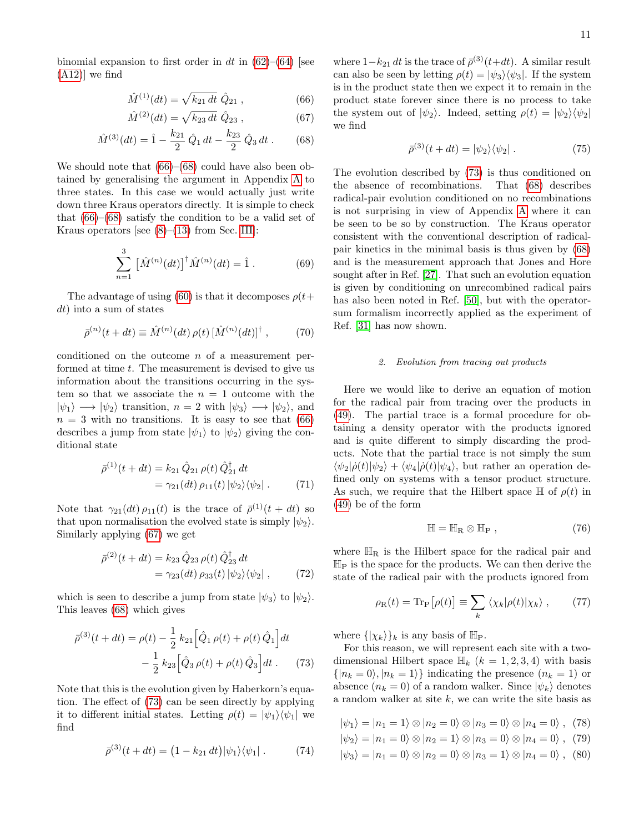binomial expansion to first order in dt in  $(62)$ – $(64)$  [see [\(A12\)](#page-17-1)] we find

$$
\hat{M}^{(1)}(dt) = \sqrt{k_{21} dt} \; \hat{Q}_{21} , \qquad (66)
$$

$$
\hat{M}^{(2)}(dt) = \sqrt{k_{23} dt} \hat{Q}_{23} , \qquad (67)
$$

$$
\hat{M}^{(3)}(dt) = \hat{1} - \frac{k_{21}}{2} \hat{Q}_1 dt - \frac{k_{23}}{2} \hat{Q}_3 dt .
$$
 (68)

We should note that  $(66)$ – $(68)$  could have also been obtained by generalising the argument in Appendix [A](#page-16-0) to three states. In this case we would actually just write down three Kraus operators directly. It is simple to check that  $(66)$ – $(68)$  satisfy the condition to be a valid set of Kraus operators [see  $(8)$ – $(13)$  from Sec. [III\]](#page-3-0):

$$
\sum_{n=1}^{3} \left[ \hat{M}^{(n)}(dt) \right]^{\dagger} \hat{M}^{(n)}(dt) = \hat{1} \,. \tag{69}
$$

The advantage of using [\(60\)](#page-9-4) is that it decomposes  $\rho(t+$ dt) into a sum of states

$$
\bar{\rho}^{(n)}(t+dt) \equiv \hat{M}^{(n)}(dt) \,\rho(t) \left[\hat{M}^{(n)}(dt)\right]^{\dagger} ,\qquad (70)
$$

conditioned on the outcome  $n$  of a measurement performed at time t. The measurement is devised to give us information about the transitions occurring in the system so that we associate the  $n = 1$  outcome with the  $|\psi_1\rangle \longrightarrow |\psi_2\rangle$  transition,  $n = 2$  with  $|\psi_3\rangle \longrightarrow |\psi_2\rangle$ , and  $n = 3$  with no transitions. It is easy to see that [\(66\)](#page-10-1) describes a jump from state  $|\psi_1\rangle$  to  $|\psi_2\rangle$  giving the conditional state

$$
\bar{\rho}^{(1)}(t+dt) = k_{21} \hat{Q}_{21} \rho(t) \hat{Q}_{21}^{\dagger} dt \n= \gamma_{21}(dt) \rho_{11}(t) |\psi_2\rangle\langle\psi_2|.
$$
\n(71)

Note that  $\gamma_{21}(dt) \rho_{11}(t)$  is the trace of  $\bar{\rho}^{(1)}(t+dt)$  so that upon normalisation the evolved state is simply  $|\psi_2\rangle$ . Similarly applying [\(67\)](#page-10-3) we get

$$
\bar{\rho}^{(2)}(t+dt) = k_{23} \hat{Q}_{23} \rho(t) \hat{Q}_{23}^{\dagger} dt \n= \gamma_{23}(dt) \rho_{33}(t) |\psi_2\rangle\langle\psi_2| ,
$$
\n(72)

which is seen to describe a jump from state  $|\psi_3\rangle$  to  $|\psi_2\rangle$ . This leaves [\(68\)](#page-10-2) which gives

$$
\bar{\rho}^{(3)}(t+dt) = \rho(t) - \frac{1}{2} k_{21} \left[ \hat{Q}_1 \rho(t) + \rho(t) \hat{Q}_1 \right] dt \n- \frac{1}{2} k_{23} \left[ \hat{Q}_3 \rho(t) + \rho(t) \hat{Q}_3 \right] dt .
$$
\n(73)

Note that this is the evolution given by Haberkorn's equation. The effect of [\(73\)](#page-10-4) can be seen directly by applying it to different initial states. Letting  $\rho(t) = |\psi_1\rangle \langle \psi_1|$  we find

$$
\bar{\rho}^{(3)}(t+dt) = (1 - k_{21} dt) |\psi_1\rangle\langle\psi_1| . \tag{74}
$$

<span id="page-10-3"></span><span id="page-10-1"></span>where  $1-k_{21} dt$  is the trace of  $\bar{\rho}^{(3)}(t+dt)$ . A similar result can also be seen by letting  $\rho(t) = |\psi_3\rangle \langle \psi_3|$ . If the system is in the product state then we expect it to remain in the product state forever since there is no process to take the system out of  $|\psi_2\rangle$ . Indeed, setting  $\rho(t) = |\psi_2\rangle \langle \psi_2|$ we find

$$
\bar{\rho}^{(3)}(t+dt) = |\psi_2\rangle\langle\psi_2| \ . \tag{75}
$$

<span id="page-10-2"></span>The evolution described by [\(73\)](#page-10-4) is thus conditioned on the absence of recombinations. That [\(68\)](#page-10-2) describes radical-pair evolution conditioned on no recombinations is not surprising in view of Appendix [A](#page-16-0) where it can be seen to be so by construction. The Kraus operator consistent with the conventional description of radicalpair kinetics in the minimal basis is thus given by [\(68\)](#page-10-2) and is the measurement approach that Jones and Hore sought after in Ref. [\[27\]](#page-20-12). That such an evolution equation is given by conditioning on unrecombined radical pairs has also been noted in Ref. [\[50\]](#page-20-34), but with the operatorsum formalism incorrectly applied as the experiment of Ref. [\[31\]](#page-20-13) has now shown.

### <span id="page-10-0"></span>2. Evolution from tracing out products

Here we would like to derive an equation of motion for the radical pair from tracing over the products in [\(49\)](#page-7-6). The partial trace is a formal procedure for obtaining a density operator with the products ignored and is quite different to simply discarding the products. Note that the partial trace is not simply the sum  $\langle \psi_2|\dot{\rho}(t)|\psi_2\rangle + \langle \psi_4|\dot{\rho}(t)|\psi_4\rangle$ , but rather an operation defined only on systems with a tensor product structure. As such, we require that the Hilbert space  $\mathbb H$  of  $\rho(t)$  in [\(49\)](#page-7-6) be of the form

<span id="page-10-5"></span>
$$
\mathbb{H} = \mathbb{H}_{R} \otimes \mathbb{H}_{P} , \qquad (76)
$$

where  $\mathbb{H}_{\text{R}}$  is the Hilbert space for the radical pair and  $\mathbb{H}_{P}$  is the space for the products. We can then derive the state of the radical pair with the products ignored from

<span id="page-10-6"></span>
$$
\rho_{\rm R}(t) = \text{Tr}_{\rm P}[\rho(t)] \equiv \sum_{k} \langle \chi_{k} | \rho(t) | \chi_{k} \rangle , \qquad (77)
$$

where  $\{|\chi_k\rangle\}_k$  is any basis of  $\mathbb{H}_P$ .

<span id="page-10-4"></span>For this reason, we will represent each site with a twodimensional Hilbert space  $\mathbb{H}_k$   $(k = 1, 2, 3, 4)$  with basis  $\{|n_k = 0\rangle, |n_k = 1\rangle\}$  indicating the presence  $(n_k = 1)$  or absence  $(n_k = 0)$  of a random walker. Since  $|\psi_k\rangle$  denotes a random walker at site  $k$ , we can write the site basis as

$$
|\psi_1\rangle = |n_1 = 1\rangle \otimes |n_2 = 0\rangle \otimes |n_3 = 0\rangle \otimes |n_4 = 0\rangle , (78)
$$

 $|\psi_2\rangle = |n_1 = 0\rangle \otimes |n_2 = 1\rangle \otimes |n_3 = 0\rangle \otimes |n_4 = 0\rangle$ , (79)

$$
\psi_3\rangle = |n_1 = 0\rangle \otimes |n_2 = 0\rangle \otimes |n_3 = 1\rangle \otimes |n_4 = 0\rangle , \quad (80)
$$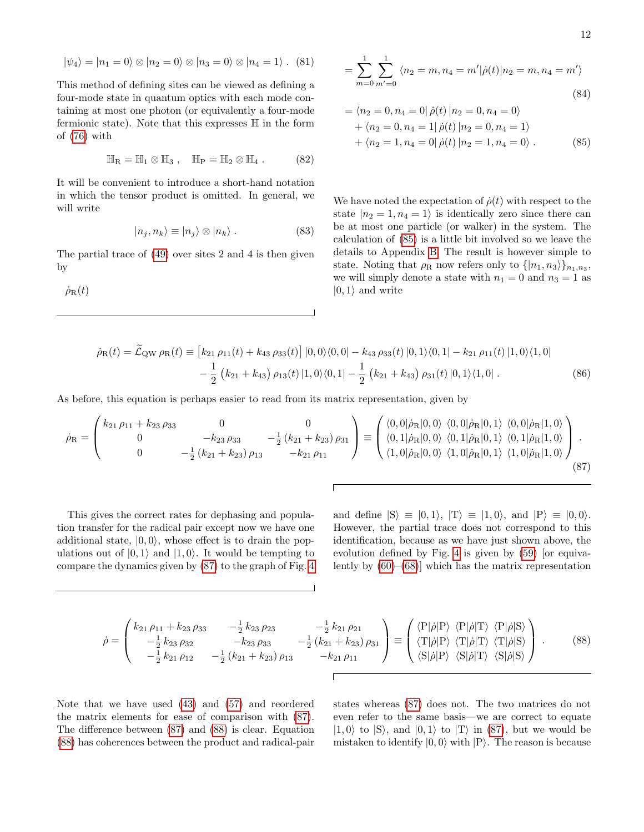$$
|\psi_4\rangle = |n_1 = 0\rangle \otimes |n_2 = 0\rangle \otimes |n_3 = 0\rangle \otimes |n_4 = 1\rangle. (81)
$$

This method of defining sites can be viewed as defining a four-mode state in quantum optics with each mode containing at most one photon (or equivalently a four-mode fermionic state). Note that this expresses  $\mathbb H$  in the form of [\(76\)](#page-10-5) with

$$
\mathbb{H}_{\mathrm{R}} = \mathbb{H}_1 \otimes \mathbb{H}_3 , \quad \mathbb{H}_{\mathrm{P}} = \mathbb{H}_2 \otimes \mathbb{H}_4 . \tag{82}
$$

It will be convenient to introduce a short-hand notation in which the tensor product is omitted. In general, we will write

$$
|n_j, n_k\rangle \equiv |n_j\rangle \otimes |n_k\rangle . \tag{83}
$$

The partial trace of [\(49\)](#page-7-6) over sites 2 and 4 is then given by

 $\dot{\rho}_{\rm R}(t)$ 

<span id="page-11-4"></span>
$$
= \sum_{m=0}^{1} \sum_{m'=0}^{1} \langle n_2 = m, n_4 = m' | \dot{\rho}(t) | n_2 = m, n_4 = m' \rangle
$$
\n(84)

<span id="page-11-1"></span>
$$
= \langle n_2 = 0, n_4 = 0 | \dot{\rho}(t) | n_2 = 0, n_4 = 0 \rangle
$$
  
+  $\langle n_2 = 0, n_4 = 1 | \dot{\rho}(t) | n_2 = 0, n_4 = 1 \rangle$   
+  $\langle n_2 = 1, n_4 = 0 | \dot{\rho}(t) | n_2 = 1, n_4 = 0 \rangle$ . (85)

<span id="page-11-5"></span>We have noted the expectation of  $\dot{\rho}(t)$  with respect to the state  $|n_2 = 1, n_4 = 1\rangle$  is identically zero since there can be at most one particle (or walker) in the system. The calculation of [\(85\)](#page-11-1) is a little bit involved so we leave the details to Appendix [B.](#page-18-0) The result is however simple to state. Noting that  $\rho_R$  now refers only to  $\{|n_1, n_3\rangle\}_{n_1, n_3}$ , we will simply denote a state with  $n_1 = 0$  and  $n_3 = 1$  as  $|0, 1\rangle$  and write

$$
\dot{\rho}_{R}(t) = \tilde{\mathcal{L}}_{QW} \rho_{R}(t) \equiv \left[k_{21} \rho_{11}(t) + k_{43} \rho_{33}(t)\right] |0,0\rangle\langle0,0| - k_{43} \rho_{33}(t) |0,1\rangle\langle0,1| - k_{21} \rho_{11}(t) |1,0\rangle\langle1,0| - \frac{1}{2} (k_{21} + k_{43}) \rho_{13}(t) |1,0\rangle\langle0,1| - \frac{1}{2} (k_{21} + k_{43}) \rho_{31}(t) |0,1\rangle\langle1,0|.
$$
\n(86)

As before, this equation is perhaps easier to read from its matrix representation, given by

$$
\dot{\rho}_{\mathcal{R}} = \begin{pmatrix} k_{21} \rho_{11} + k_{23} \rho_{33} & 0 & 0 \\ 0 & -k_{23} \rho_{33} & -\frac{1}{2} (k_{21} + k_{23}) \rho_{31} \\ 0 & -\frac{1}{2} (k_{21} + k_{23}) \rho_{13} & -k_{21} \rho_{11} \end{pmatrix} \equiv \begin{pmatrix} \langle 0, 0 | \dot{\rho}_{\mathcal{R}} | 0, 0 \rangle & \langle 0, 0 | \dot{\rho}_{\mathcal{R}} | 0, 1 \rangle & \langle 0, 0 | \dot{\rho}_{\mathcal{R}} | 1, 0 \rangle \\ \langle 0, 1 | \dot{\rho}_{\mathcal{R}} | 0, 0 \rangle & \langle 0, 1 | \dot{\rho}_{\mathcal{R}} | 0, 1 \rangle & \langle 1, 0 | \dot{\rho}_{\mathcal{R}} | 1, 0 \rangle \\ \langle 1, 0 | \dot{\rho}_{\mathcal{R}} | 0, 0 \rangle & \langle 1, 0 | \dot{\rho}_{\mathcal{R}} | 0, 1 \rangle & \langle 1, 0 | \dot{\rho}_{\mathcal{R}} | 1, 0 \rangle \end{pmatrix} . \tag{87}
$$

This gives the correct rates for dephasing and population transfer for the radical pair except now we have one additional state,  $|0, 0\rangle$ , whose effect is to drain the populations out of  $|0, 1\rangle$  and  $|1, 0\rangle$ . It would be tempting to compare the dynamics given by [\(87\)](#page-11-2) to the graph of Fig. [4](#page-9-0) <span id="page-11-3"></span><span id="page-11-2"></span>and define  $|S\rangle \equiv |0,1\rangle$ ,  $|T\rangle \equiv |1,0\rangle$ , and  $|P\rangle \equiv |0,0\rangle$ . However, the partial trace does not correspond to this identification, because as we have just shown above, the evolution defined by Fig. [4](#page-9-0) is given by [\(59\)](#page-9-1) [or equivalently by  $(60)$ – $(68)$ ] which has the matrix representation

$$
\dot{\rho} = \begin{pmatrix} k_{21} \rho_{11} + k_{23} \rho_{33} & -\frac{1}{2} k_{23} \rho_{23} & -\frac{1}{2} k_{21} \rho_{21} \\ -\frac{1}{2} k_{23} \rho_{32} & -k_{23} \rho_{33} & -\frac{1}{2} (k_{21} + k_{23}) \rho_{31} \\ -\frac{1}{2} k_{21} \rho_{12} & -\frac{1}{2} (k_{21} + k_{23}) \rho_{13} & -k_{21} \rho_{11} \end{pmatrix} \equiv \begin{pmatrix} \langle P|\dot{\rho}|P\rangle & \langle P|\dot{\rho}|T\rangle & \langle P|\dot{\rho}|S\rangle \\ \langle T|\dot{\rho}|P\rangle & \langle T|\dot{\rho}|S\rangle & \langle T|\dot{\rho}|S\rangle \\ \langle S|\dot{\rho}|P\rangle & \langle S|\dot{\rho}|T\rangle & \langle S|\dot{\rho}|S\rangle \end{pmatrix} . \tag{88}
$$

Note that we have used [\(43\)](#page-7-1) and [\(57\)](#page-9-5) and reordered the matrix elements for ease of comparison with [\(87\)](#page-11-2). The difference between [\(87\)](#page-11-2) and [\(88\)](#page-11-0) is clear. Equation [\(88\)](#page-11-0) has coherences between the product and radical-pair <span id="page-11-0"></span>states whereas [\(87\)](#page-11-2) does not. The two matrices do not even refer to the same basis—we are correct to equate  $|1, 0\rangle$  to  $|S\rangle$ , and  $|0, 1\rangle$  to  $|T\rangle$  in [\(87\)](#page-11-2), but we would be mistaken to identify  $|0,0\rangle$  with  $|P\rangle$ . The reason is because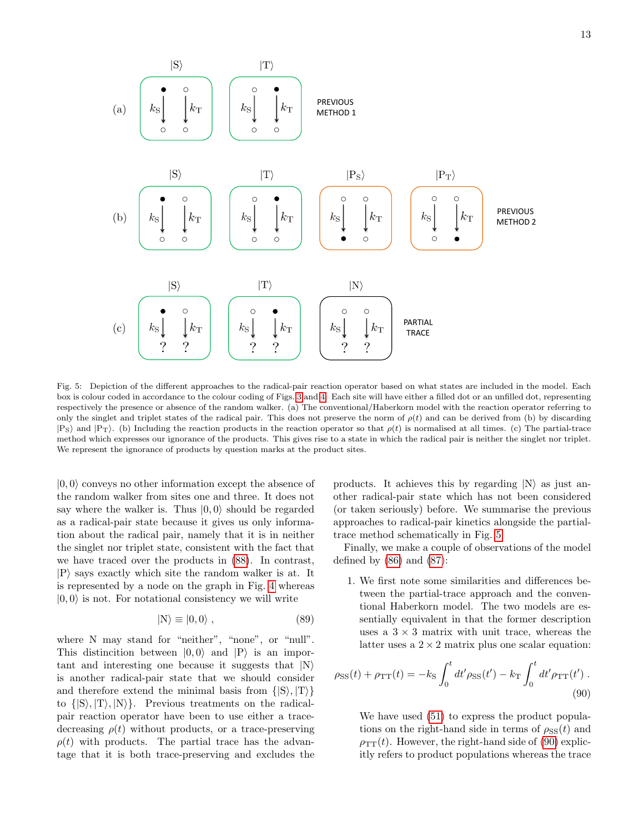

<span id="page-12-1"></span>Fig. 5: Depiction of the different approaches to the radical-pair reaction operator based on what states are included in the model. Each box is colour coded in accordance to the colour coding of Figs. [3](#page-7-3) and [4.](#page-9-0) Each site will have either a filled dot or an unfilled dot, representing respectively the presence or absence of the random walker. (a) The conventional/Haberkorn model with the reaction operator referring to only the singlet and triplet states of the radical pair. This does not preserve the norm of  $\rho(t)$  and can be derived from (b) by discarding  $|P_S\rangle$  and  $|P_T\rangle$ . (b) Including the reaction products in the reaction operator so that  $\rho(t)$  is normalised at all times. (c) The partial-trace method which expresses our ignorance of the products. This gives rise to a state in which the radical pair is neither the singlet nor triplet. We represent the ignorance of products by question marks at the product sites.

 $|0, 0\rangle$  conveys no other information except the absence of the random walker from sites one and three. It does not say where the walker is. Thus  $|0, 0\rangle$  should be regarded as a radical-pair state because it gives us only information about the radical pair, namely that it is in neither the singlet nor triplet state, consistent with the fact that we have traced over the products in [\(88\)](#page-11-0). In contrast,  $|P\rangle$  says exactly which site the random walker is at. It is represented by a node on the graph in Fig. [4](#page-9-0) whereas  $|0, 0\rangle$  is not. For notational consistency we will write

$$
|N\rangle \equiv |0,0\rangle ,\qquad (89)
$$

where N may stand for "neither", "none", or "null". This distincition between  $|0, 0\rangle$  and  $|P\rangle$  is an important and interesting one because it suggests that  $|N\rangle$ is another radical-pair state that we should consider and therefore extend the minimal basis from  $\{|S\rangle, |T\rangle\}$ to  $\{|S\rangle, |T\rangle, |N\rangle\}$ . Previous treatments on the radicalpair reaction operator have been to use either a tracedecreasing  $\rho(t)$  without products, or a trace-preserving  $\rho(t)$  with products. The partial trace has the advantage that it is both trace-preserving and excludes the

products. It achieves this by regarding  $|N\rangle$  as just another radical-pair state which has not been considered (or taken seriously) before. We summarise the previous approaches to radical-pair kinetics alongside the partialtrace method schematically in Fig. [5.](#page-12-1)

Finally, we make a couple of observations of the model defined by  $(86)$  and  $(87)$ :

<span id="page-12-0"></span>1. We first note some similarities and differences between the partial-trace approach and the conventional Haberkorn model. The two models are essentially equivalent in that the former description uses a  $3 \times 3$  matrix with unit trace, whereas the latter uses a  $2 \times 2$  matrix plus one scalar equation:

$$
\rho_{\rm{SS}}(t) + \rho_{\rm{TT}}(t) = -k_{\rm{S}} \int_0^t dt' \rho_{\rm{SS}}(t') - k_{\rm{T}} \int_0^t dt' \rho_{\rm{TT}}(t') .
$$
\n(90)

<span id="page-12-2"></span>We have used [\(51\)](#page-8-1) to express the product populations on the right-hand side in terms of  $\rho_{SS}(t)$  and  $\rho_{TT}(t)$ . However, the right-hand side of [\(90\)](#page-12-2) explicitly refers to product populations whereas the trace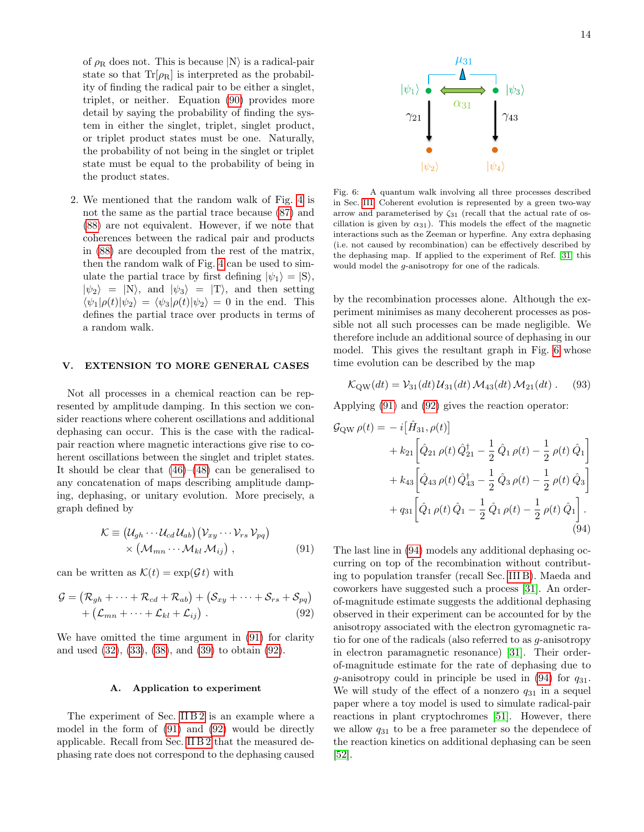of  $\rho_R$  does not. This is because  $|N\rangle$  is a radical-pair state so that  $Tr[\rho_R]$  is interpreted as the probability of finding the radical pair to be either a singlet, triplet, or neither. Equation [\(90\)](#page-12-2) provides more detail by saying the probability of finding the system in either the singlet, triplet, singlet product, or triplet product states must be one. Naturally, the probability of not being in the singlet or triplet state must be equal to the probability of being in the product states.

2. We mentioned that the random walk of Fig. [4](#page-9-0) is not the same as the partial trace because [\(87\)](#page-11-2) and [\(88\)](#page-11-0) are not equivalent. However, if we note that coherences between the radical pair and products in [\(88\)](#page-11-0) are decoupled from the rest of the matrix, then the random walk of Fig. [4](#page-9-0) can be used to simulate the partial trace by first defining  $|\psi_1\rangle = |S\rangle$ ,  $|\psi_2\rangle = |N\rangle$ , and  $|\psi_3\rangle = |T\rangle$ , and then setting  $\langle \psi_1|\rho(t)|\psi_2\rangle = \langle \psi_3|\rho(t)|\psi_2\rangle = 0$  in the end. This defines the partial trace over products in terms of a random walk.

### <span id="page-13-0"></span>V. EXTENSION TO MORE GENERAL CASES

Not all processes in a chemical reaction can be represented by amplitude damping. In this section we consider reactions where coherent oscillations and additional dephasing can occur. This is the case with the radicalpair reaction where magnetic interactions give rise to coherent oscillations between the singlet and triplet states. It should be clear that  $(46)$ – $(48)$  can be generalised to any concatenation of maps describing amplitude damping, dephasing, or unitary evolution. More precisely, a graph defined by

$$
\mathcal{K} \equiv \left(\mathcal{U}_{gh} \cdots \mathcal{U}_{cd} \mathcal{U}_{ab}\right) \left(\mathcal{V}_{xy} \cdots \mathcal{V}_{rs} \mathcal{V}_{pq}\right) \times \left(\mathcal{M}_{mn} \cdots \mathcal{M}_{kl} \mathcal{M}_{ij}\right) ,\qquad (91)
$$

can be written as  $\mathcal{K}(t) = \exp(\mathcal{G} t)$  with

$$
\mathcal{G} = (\mathcal{R}_{gh} + \dots + \mathcal{R}_{cd} + \mathcal{R}_{ab}) + (\mathcal{S}_{xy} + \dots + \mathcal{S}_{rs} + \mathcal{S}_{pq})
$$
  
+  $(\mathcal{L}_{mn} + \dots + \mathcal{L}_{kl} + \mathcal{L}_{ij}).$  (92)

We have omitted the time argument in [\(91\)](#page-13-1) for clarity and used [\(32\)](#page-6-5), [\(33\)](#page-6-6), [\(38\)](#page-6-7), and [\(39\)](#page-6-8) to obtain [\(92\)](#page-13-2).

### A. Application to experiment

The experiment of Sec. IIB2 is an example where a model in the form of [\(91\)](#page-13-1) and [\(92\)](#page-13-2) would be directly applicable. Recall from Sec. [II B 2](#page-3-3) that the measured dephasing rate does not correspond to the dephasing caused



<span id="page-13-3"></span>Fig. 6: A quantum walk involving all three processes described in Sec. [III.](#page-3-0) Coherent evolution is represented by a green two-way arrow and parameterised by  $\zeta_{31}$  (recall that the actual rate of oscillation is given by  $\alpha_{31}$ ). This models the effect of the magnetic interactions such as the Zeeman or hyperfine. Any extra dephasing (i.e. not caused by recombination) can be effectively described by the dephasing map. If applied to the experiment of Ref. [\[31\]](#page-20-13) this would model the g-anisotropy for one of the radicals.

by the recombination processes alone. Although the experiment minimises as many decoherent processes as possible not all such processes can be made negligible. We therefore include an additional source of dephasing in our model. This gives the resultant graph in Fig. [6](#page-13-3) whose time evolution can be described by the map

$$
\mathcal{K}_{\rm QW}(dt) = \mathcal{V}_{31}(dt) \mathcal{U}_{31}(dt) \mathcal{M}_{43}(dt) \mathcal{M}_{21}(dt) \ . \tag{93}
$$

Applying [\(91\)](#page-13-1) and [\(92\)](#page-13-2) gives the reaction operator:

$$
\mathcal{G}_{\text{QW}}\,\rho(t) = -i\big[\hat{H}_{31}, \rho(t)\big] \n+ k_{21}\bigg[\hat{Q}_{21}\,\rho(t)\,\hat{Q}_{21}^{\dagger} - \frac{1}{2}\,\hat{Q}_{1}\,\rho(t) - \frac{1}{2}\,\rho(t)\,\hat{Q}_{1}\bigg] \n+ k_{43}\bigg[\hat{Q}_{43}\,\rho(t)\,\hat{Q}_{43}^{\dagger} - \frac{1}{2}\,\hat{Q}_{3}\,\rho(t) - \frac{1}{2}\,\rho(t)\,\hat{Q}_{3}\bigg] \n+ q_{31}\bigg[\hat{Q}_{1}\,\rho(t)\,\hat{Q}_{1} - \frac{1}{2}\,\hat{Q}_{1}\,\rho(t) - \frac{1}{2}\,\rho(t)\,\hat{Q}_{1}\bigg].
$$
\n(94)

<span id="page-13-4"></span><span id="page-13-2"></span><span id="page-13-1"></span>The last line in [\(94\)](#page-13-4) models any additional dephasing occurring on top of the recombination without contributing to population transfer (recall Sec. [III B\)](#page-5-11). Maeda and coworkers have suggested such a process [\[31\]](#page-20-13). An orderof-magnitude estimate suggests the additional dephasing observed in their experiment can be accounted for by the anisotropy associated with the electron gyromagnetic ratio for one of the radicals (also referred to as g-anisotropy in electron paramagnetic resonance) [\[31\]](#page-20-13). Their orderof-magnitude estimate for the rate of dephasing due to g-anisotropy could in principle be used in  $(94)$  for  $q_{31}$ . We will study of the effect of a nonzero  $q_{31}$  in a sequel paper where a toy model is used to simulate radical-pair reactions in plant cryptochromes [\[51\]](#page-20-35). However, there we allow  $q_{31}$  to be a free parameter so the dependece of the reaction kinetics on additional dephasing can be seen [\[52\]](#page-20-36).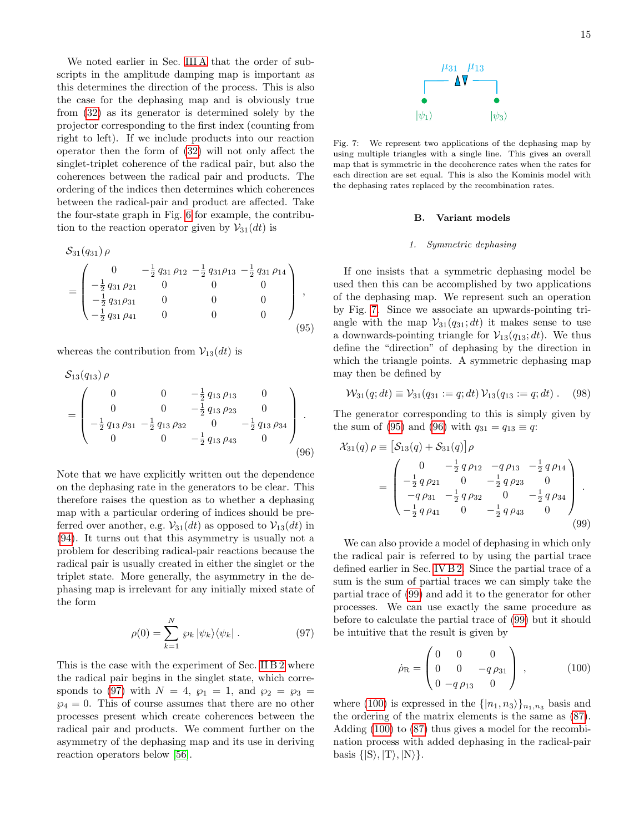We noted earlier in Sec. [III A](#page-4-5) that the order of subscripts in the amplitude damping map is important as this determines the direction of the process. This is also the case for the dephasing map and is obviously true from [\(32\)](#page-6-5) as its generator is determined solely by the projector corresponding to the first index (counting from right to left). If we include products into our reaction operator then the form of [\(32\)](#page-6-5) will not only affect the singlet-triplet coherence of the radical pair, but also the coherences between the radical pair and products. The ordering of the indices then determines which coherences between the radical-pair and product are affected. Take the four-state graph in Fig. [6](#page-13-3) for example, the contribution to the reaction operator given by  $\mathcal{V}_{31}(dt)$  is

$$
S_{31}(q_{31})\rho
$$
\n
$$
= \begin{pmatrix}\n0 & -\frac{1}{2} q_{31} \rho_{12} - \frac{1}{2} q_{31} \rho_{13} - \frac{1}{2} q_{31} \rho_{14} \\
-\frac{1}{2} q_{31} \rho_{21} & 0 & 0 & 0 \\
-\frac{1}{2} q_{31} \rho_{31} & 0 & 0 & 0 \\
-\frac{1}{2} q_{31} \rho_{41} & 0 & 0 & 0\n\end{pmatrix},
$$
\n(95)

whereas the contribution from  $\mathcal{V}_{13}(dt)$  is

$$
S_{13}(q_{13}) \rho
$$
  
= 
$$
\begin{pmatrix} 0 & 0 & -\frac{1}{2} q_{13} \rho_{13} & 0 \\ 0 & 0 & -\frac{1}{2} q_{13} \rho_{23} & 0 \\ -\frac{1}{2} q_{13} \rho_{31} & -\frac{1}{2} q_{13} \rho_{32} & 0 & -\frac{1}{2} q_{13} \rho_{34} \\ 0 & 0 & -\frac{1}{2} q_{13} \rho_{43} & 0 \end{pmatrix}.
$$
 (96)

Note that we have explicitly written out the dependence on the dephasing rate in the generators to be clear. This therefore raises the question as to whether a dephasing map with a particular ordering of indices should be preferred over another, e.g.  $\mathcal{V}_{31}(dt)$  as opposed to  $\mathcal{V}_{13}(dt)$  in [\(94\)](#page-13-4). It turns out that this asymmetry is usually not a problem for describing radical-pair reactions because the radical pair is usually created in either the singlet or the triplet state. More generally, the asymmetry in the dephasing map is irrelevant for any initially mixed state of the form

$$
\rho(0) = \sum_{k=1}^{N} \varrho_k |\psi_k\rangle\langle\psi_k|.
$$
 (97)

This is the case with the experiment of Sec. [II B 2](#page-3-3) where the radical pair begins in the singlet state, which corre-sponds to [\(97\)](#page-14-0) with  $N = 4$ ,  $\wp_1 = 1$ , and  $\wp_2 = \wp_3 =$  $\wp_4 = 0$ . This of course assumes that there are no other processes present which create coherences between the radical pair and products. We comment further on the asymmetry of the dephasing map and its use in deriving reaction operators below [\[56\]](#page-20-37).



<span id="page-14-1"></span>Fig. 7: We represent two applications of the dephasing map by using multiple triangles with a single line. This gives an overall map that is symmetric in the decoherence rates when the rates for each direction are set equal. This is also the Kominis model with the dephasing rates replaced by the recombination rates.

### B. Variant models

### 1. Symmetric dephasing

<span id="page-14-2"></span>If one insists that a symmetric dephasing model be used then this can be accomplished by two applications of the dephasing map. We represent such an operation by Fig. [7.](#page-14-1) Since we associate an upwards-pointing triangle with the map  $\mathcal{V}_{31}(q_{31}; dt)$  it makes sense to use a downwards-pointing triangle for  $\mathcal{V}_{13}(q_{13}; dt)$ . We thus define the "direction" of dephasing by the direction in which the triangle points. A symmetric dephasing map may then be defined by

$$
\mathcal{W}_{31}(q;dt) \equiv \mathcal{V}_{31}(q_{31} := q;dt) \mathcal{V}_{13}(q_{13} := q;dt).
$$
 (98)

The generator corresponding to this is simply given by the sum of [\(95\)](#page-14-2) and [\(96\)](#page-14-3) with  $q_{31} = q_{13} \equiv q$ :

<span id="page-14-3"></span>
$$
\mathcal{X}_{31}(q) \rho \equiv \left[ \mathcal{S}_{13}(q) + \mathcal{S}_{31}(q) \right] \rho
$$
  
= 
$$
\begin{pmatrix} 0 & -\frac{1}{2} q \rho_{12} & -q \rho_{13} & -\frac{1}{2} q \rho_{14} \\ -\frac{1}{2} q \rho_{21} & 0 & -\frac{1}{2} q \rho_{23} & 0 \\ -q \rho_{31} & -\frac{1}{2} q \rho_{32} & 0 & -\frac{1}{2} q \rho_{34} \\ -\frac{1}{2} q \rho_{41} & 0 & -\frac{1}{2} q \rho_{43} & 0 \end{pmatrix}.
$$
 (99)

We can also provide a model of dephasing in which only the radical pair is referred to by using the partial trace defined earlier in Sec. [IV B 2.](#page-10-0) Since the partial trace of a sum is the sum of partial traces we can simply take the partial trace of [\(99\)](#page-14-4) and add it to the generator for other processes. We can use exactly the same procedure as before to calculate the partial trace of [\(99\)](#page-14-4) but it should be intuitive that the result is given by

<span id="page-14-5"></span><span id="page-14-4"></span>
$$
\dot{\rho}_{\rm R} = \begin{pmatrix} 0 & 0 & 0 \\ 0 & 0 & -q \rho_{31} \\ 0 & -q \rho_{13} & 0 \end{pmatrix} , \qquad (100)
$$

<span id="page-14-0"></span>where [\(100\)](#page-14-5) is expressed in the  $\{|n_1, n_3\rangle\}_{n_1,n_3}$  basis and the ordering of the matrix elements is the same as [\(87\)](#page-11-2). Adding [\(100\)](#page-14-5) to [\(87\)](#page-11-2) thus gives a model for the recombination process with added dephasing in the radical-pair basis  $\{|S\rangle, |T\rangle, |N\rangle\}.$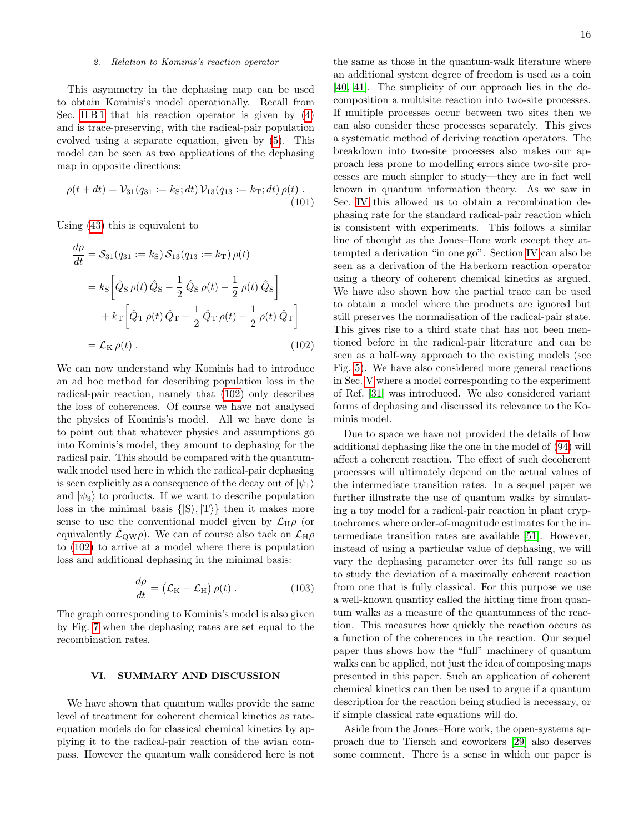### 2. Relation to Kominis's reaction operator

This asymmetry in the dephasing map can be used to obtain Kominis's model operationally. Recall from Sec. [II B 1](#page-2-6) that his reaction operator is given by  $(4)$ and is trace-preserving, with the radical-pair population evolved using a separate equation, given by [\(5\)](#page-3-4). This model can be seen as two applications of the dephasing map in opposite directions:

$$
\rho(t + dt) = \mathcal{V}_{31}(q_{31} := k_{\rm S}; dt) \mathcal{V}_{13}(q_{13} := k_{\rm T}; dt) \rho(t) \tag{101}
$$

Using [\(43\)](#page-7-1) this is equivalent to

$$
\frac{d\rho}{dt} = S_{31}(q_{31} := k_{\rm S}) S_{13}(q_{13} := k_{\rm T}) \rho(t)
$$
  
=  $k_{\rm S} \left[ \hat{Q}_{\rm S} \rho(t) \hat{Q}_{\rm S} - \frac{1}{2} \hat{Q}_{\rm S} \rho(t) - \frac{1}{2} \rho(t) \hat{Q}_{\rm S} \right]$   
+  $k_{\rm T} \left[ \hat{Q}_{\rm T} \rho(t) \hat{Q}_{\rm T} - \frac{1}{2} \hat{Q}_{\rm T} \rho(t) - \frac{1}{2} \rho(t) \hat{Q}_{\rm T} \right]$   
=  $\mathcal{L}_{\rm K} \rho(t)$ . (102)

We can now understand why Kominis had to introduce an ad hoc method for describing population loss in the radical-pair reaction, namely that [\(102\)](#page-15-1) only describes the loss of coherences. Of course we have not analysed the physics of Kominis's model. All we have done is to point out that whatever physics and assumptions go into Kominis's model, they amount to dephasing for the radical pair. This should be compared with the quantumwalk model used here in which the radical-pair dephasing is seen explicitly as a consequence of the decay out of  $|\psi_1\rangle$ and  $|\psi_3\rangle$  to products. If we want to describe population loss in the minimal basis  $\{ |S\rangle, |T\rangle \}$  then it makes more sense to use the conventional model given by  $\mathcal{L}_{H}\rho$  (or equivalently  $\mathcal{L}_{QW}\rho$ . We can of course also tack on  $\mathcal{L}_{H}\rho$ to [\(102\)](#page-15-1) to arrive at a model where there is population loss and additional dephasing in the minimal basis:

$$
\frac{d\rho}{dt} = (\mathcal{L}_{\rm K} + \mathcal{L}_{\rm H}) \rho(t) \,. \tag{103}
$$

The graph corresponding to Kominis's model is also given by Fig. [7](#page-14-1) when the dephasing rates are set equal to the recombination rates.

# <span id="page-15-0"></span>VI. SUMMARY AND DISCUSSION

We have shown that quantum walks provide the same level of treatment for coherent chemical kinetics as rateequation models do for classical chemical kinetics by applying it to the radical-pair reaction of the avian compass. However the quantum walk considered here is not

the same as those in the quantum-walk literature where an additional system degree of freedom is used as a coin [\[40,](#page-20-22) [41\]](#page-20-23). The simplicity of our approach lies in the decomposition a multisite reaction into two-site processes. If multiple processes occur between two sites then we can also consider these processes separately. This gives a systematic method of deriving reaction operators. The breakdown into two-site processes also makes our approach less prone to modelling errors since two-site processes are much simpler to study—they are in fact well known in quantum information theory. As we saw in Sec. [IV](#page-7-0) this allowed us to obtain a recombination dephasing rate for the standard radical-pair reaction which is consistent with experiments. This follows a similar line of thought as the Jones–Hore work except they attempted a derivation "in one go". Section [IV](#page-7-0) can also be seen as a derivation of the Haberkorn reaction operator using a theory of coherent chemical kinetics as argued. We have also shown how the partial trace can be used to obtain a model where the products are ignored but still preserves the normalisation of the radical-pair state. This gives rise to a third state that has not been mentioned before in the radical-pair literature and can be seen as a half-way approach to the existing models (see Fig. [5\)](#page-12-1). We have also considered more general reactions in Sec. [V](#page-13-0) where a model corresponding to the experiment of Ref. [\[31\]](#page-20-13) was introduced. We also considered variant forms of dephasing and discussed its relevance to the Kominis model.

<span id="page-15-1"></span>Due to space we have not provided the details of how additional dephasing like the one in the model of [\(94\)](#page-13-4) will affect a coherent reaction. The effect of such decoherent processes will ultimately depend on the actual values of the intermediate transition rates. In a sequel paper we further illustrate the use of quantum walks by simulating a toy model for a radical-pair reaction in plant cryptochromes where order-of-magnitude estimates for the intermediate transition rates are available [\[51\]](#page-20-35). However, instead of using a particular value of dephasing, we will vary the dephasing parameter over its full range so as to study the deviation of a maximally coherent reaction from one that is fully classical. For this purpose we use a well-known quantity called the hitting time from quantum walks as a measure of the quantumness of the reaction. This measures how quickly the reaction occurs as a function of the coherences in the reaction. Our sequel paper thus shows how the "full" machinery of quantum walks can be applied, not just the idea of composing maps presented in this paper. Such an application of coherent chemical kinetics can then be used to argue if a quantum description for the reaction being studied is necessary, or if simple classical rate equations will do.

Aside from the Jones–Hore work, the open-systems approach due to Tiersch and coworkers [\[29\]](#page-20-38) also deserves some comment. There is a sense in which our paper is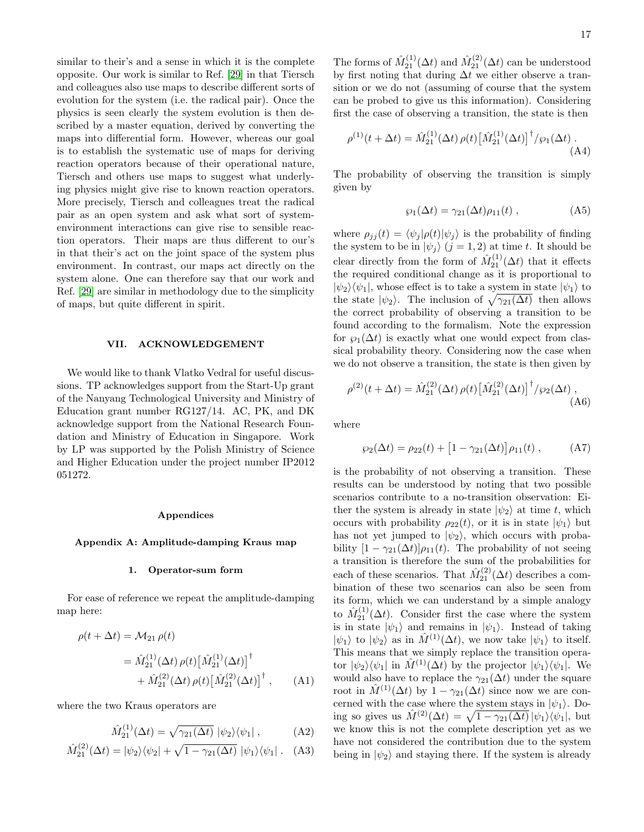similar to their's and a sense in which it is the complete opposite. Our work is similar to Ref. [\[29\]](#page-20-38) in that Tiersch and colleagues also use maps to describe different sorts of evolution for the system (i.e. the radical pair). Once the physics is seen clearly the system evolution is then described by a master equation, derived by converting the maps into differential form. However, whereas our goal is to establish the systematic use of maps for deriving reaction operators because of their operational nature, Tiersch and others use maps to suggest what underlying physics might give rise to known reaction operators. More precisely, Tiersch and colleagues treat the radical pair as an open system and ask what sort of systemenvironment interactions can give rise to sensible reaction operators. Their maps are thus different to our's in that their's act on the joint space of the system plus environment. In contrast, our maps act directly on the system alone. One can therefore say that our work and Ref. [\[29\]](#page-20-38) are similar in methodology due to the simplicity of maps, but quite different in spirit.

### VII. ACKNOWLEDGEMENT

We would like to thank Vlatko Vedral for useful discussions. TP acknowledges support from the Start-Up grant of the Nanyang Technological University and Ministry of Education grant number RG127/14. AC, PK, and DK acknowledge support from the National Research Foundation and Ministry of Education in Singapore. Work by LP was supported by the Polish Ministry of Science and Higher Education under the project number IP2012 051272.

### Appendices

### <span id="page-16-0"></span>Appendix A: Amplitude-damping Kraus map

### 1. Operator-sum form

For ease of reference we repeat the amplitude-damping map here:

$$
\rho(t + \Delta t) = \mathcal{M}_{21} \rho(t)
$$
  
=  $\hat{M}_{21}^{(1)}(\Delta t) \rho(t) [\hat{M}_{21}^{(1)}(\Delta t)]^{\dagger}$   
+  $\hat{M}_{21}^{(2)}(\Delta t) \rho(t) [\hat{M}_{21}^{(2)}(\Delta t)]^{\dagger}$ , (A1)

where the two Kraus operators are

<span id="page-16-3"></span><span id="page-16-2"></span><span id="page-16-1"></span>
$$
\hat{M}_{21}^{(1)}(\Delta t) = \sqrt{\gamma_{21}(\Delta t)} \, |\psi_2\rangle\langle\psi_1| \,,\tag{A2}
$$

$$
\hat{M}_{21}^{(2)}(\Delta t) = |\psi_2\rangle\langle\psi_2| + \sqrt{1 - \gamma_{21}(\Delta t)} |\psi_1\rangle\langle\psi_1|.
$$
 (A3)

The forms of  $\hat{M}_{21}^{(1)}(\Delta t)$  and  $\hat{M}_{21}^{(2)}(\Delta t)$  can be understood by first noting that during  $\Delta t$  we either observe a transition or we do not (assuming of course that the system can be probed to give us this information). Considering first the case of observing a transition, the state is then

$$
\rho^{(1)}(t + \Delta t) = \hat{M}_{21}^{(1)}(\Delta t) \,\rho(t) \left[ \hat{M}_{21}^{(1)}(\Delta t) \right]^{\dagger} / \wp_1(\Delta t) \,. \tag{A4}
$$

The probability of observing the transition is simply given by

<span id="page-16-4"></span>
$$
\wp_1(\Delta t) = \gamma_{21}(\Delta t)\rho_{11}(t) , \qquad (A5)
$$

where  $\rho_{jj}(t) = \langle \psi_j | \rho(t) | \psi_j \rangle$  is the probability of finding the system to be in  $|\psi_j\rangle$   $(j = 1, 2)$  at time t. It should be clear directly from the form of  $\hat{M}_{21}^{(1)}(\Delta t)$  that it effects the required conditional change as it is proportional to  $|\psi_2\rangle\langle\psi_1|$ , whose effect is to take a system in state  $|\psi_1\rangle$  to the state  $|\psi_2\rangle$ . The inclusion of  $\sqrt{\gamma_{21}(\Delta t)}$  then allows the correct probability of observing a transition to be found according to the formalism. Note the expression for  $\varphi_1(\Delta t)$  is exactly what one would expect from classical probability theory. Considering now the case when we do not observe a transition, the state is then given by

$$
\rho^{(2)}(t + \Delta t) = \hat{M}_{21}^{(2)}(\Delta t) \,\rho(t) \big[\hat{M}_{21}^{(2)}(\Delta t)\big]^\dagger / \wp_2(\Delta t) \,,
$$
\n(A6)

where

<span id="page-16-5"></span>
$$
\wp_2(\Delta t) = \rho_{22}(t) + [1 - \gamma_{21}(\Delta t)] \rho_{11}(t) , \quad (A7)
$$

is the probability of not observing a transition. These results can be understood by noting that two possible scenarios contribute to a no-transition observation: Either the system is already in state  $|\psi_2\rangle$  at time t, which occurs with probability  $\rho_{22}(t)$ , or it is in state  $|\psi_1\rangle$  but has not yet jumped to  $|\psi_2\rangle$ , which occurs with probability  $[1 - \gamma_{21}(\Delta t)]\rho_{11}(t)$ . The probability of not seeing a transition is therefore the sum of the probabilities for each of these scenarios. That  $\hat{M}_{21}^{(2)}(\Delta t)$  describes a combination of these two scenarios can also be seen from its form, which we can understand by a simple analogy to  $\hat{M}_{21}^{(1)}(\Delta t)$ . Consider first the case where the system is in state  $|\psi_1\rangle$  and remains in  $|\psi_1\rangle$ . Instead of taking  $|\psi_1\rangle$  to  $|\psi_2\rangle$  as in  $\hat{M}^{(1)}(\Delta t)$ , we now take  $|\psi_1\rangle$  to itself. This means that we simply replace the transition operator  $|\psi_2\rangle\langle\psi_1|$  in  $\hat{M}^{(1)}(\Delta t)$  by the projector  $|\psi_1\rangle\langle\psi_1|$ . We would also have to replace the  $\gamma_{21}(\Delta t)$  under the square root in  $\hat{M}^{(1)}(\Delta t)$  by  $1 - \gamma_{21}(\Delta t)$  since now we are concerned with the case where the system stays in  $|\psi_1\rangle$ . Doing so gives us  $\hat{M}^{(2)}(\Delta t) = \sqrt{1 - \gamma_{21}(\Delta t)} |\psi_1\rangle \langle \psi_1|$ , but we know this is not the complete description yet as we have not considered the contribution due to the system being in  $|\psi_2\rangle$  and staying there. If the system is already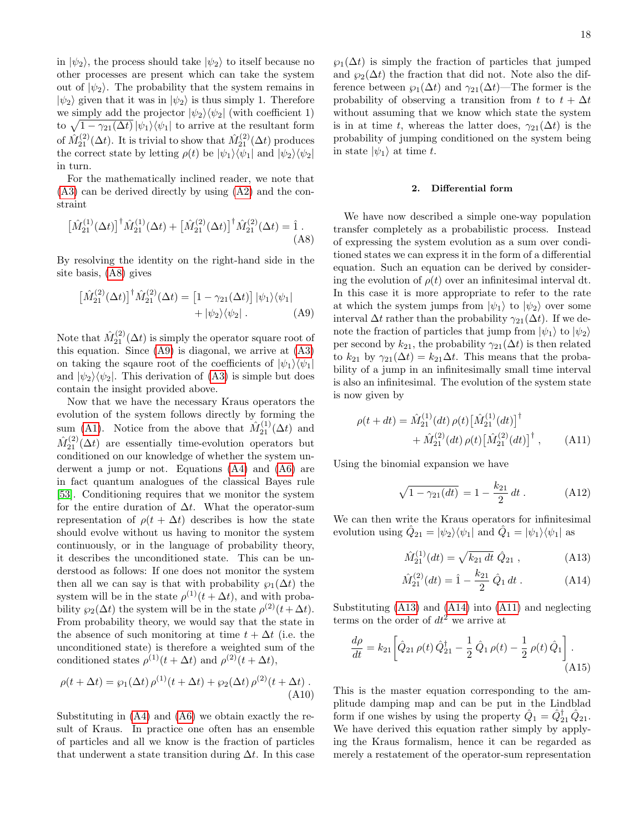in  $|\psi_2\rangle$ , the process should take  $|\psi_2\rangle$  to itself because no other processes are present which can take the system out of  $|\psi_2\rangle$ . The probability that the system remains in  $|\psi_2\rangle$  given that it was in  $|\psi_2\rangle$  is thus simply 1. Therefore we simply add the projector  $|\psi_2\rangle \langle \psi_2|$  (with coefficient 1) to  $\sqrt{1-\gamma_{21}(\Delta t)}|\psi_1\rangle\langle\psi_1|$  to arrive at the resultant form of  $\hat{M}_{21}^{(2)}(\Delta t)$ . It is trivial to show that  $\hat{M}_{21}^{(2)}(\Delta t)$  produces the correct state by letting  $\rho(t)$  be  $|\psi_1\rangle\langle\psi_1|$  and  $|\psi_2\rangle\langle\psi_2|$ in turn.

For the mathematically inclined reader, we note that [\(A3\)](#page-16-1) can be derived directly by using [\(A2\)](#page-16-2) and the constraint

$$
\left[\hat{M}_{21}^{(1)}(\Delta t)\right]^{\dagger} \hat{M}_{21}^{(1)}(\Delta t) + \left[\hat{M}_{21}^{(2)}(\Delta t)\right]^{\dagger} \hat{M}_{21}^{(2)}(\Delta t) = \hat{1}.
$$
\n(A8)

By resolving the identity on the right-hand side in the site basis, [\(A8\)](#page-17-2) gives

$$
\left[\hat{M}_{21}^{(2)}(\Delta t)\right]^{\dagger} \hat{M}_{21}^{(2)}(\Delta t) = \left[1 - \gamma_{21}(\Delta t)\right] |\psi_1\rangle\langle\psi_1| + |\psi_2\rangle\langle\psi_2|.
$$
 (A9)

Note that  $\hat{M}_{21}^{(2)}(\Delta t)$  is simply the operator square root of this equation. Since [\(A9\)](#page-17-3) is diagonal, we arrive at [\(A3\)](#page-16-1) on taking the sqaure root of the coefficients of  $|\psi_1\rangle\langle\psi_1|$ and  $|\psi_2\rangle\langle\psi_2|$ . This derivation of [\(A3\)](#page-16-1) is simple but does contain the insight provided above.

Now that we have the necessary Kraus operators the evolution of the system follows directly by forming the sum [\(A1\)](#page-16-3). Notice from the above that  $\hat{M}_{21}^{(1)}(\Delta t)$  and  $\hat{M}_{21}^{(2)}(\Delta t)$  are essentially time-evolution operators but conditioned on our knowledge of whether the system underwent a jump or not. Equations [\(A4\)](#page-16-4) and [\(A6\)](#page-16-5) are in fact quantum analogues of the classical Bayes rule [\[53\]](#page-20-39). Conditioning requires that we monitor the system for the entire duration of  $\Delta t$ . What the operator-sum representation of  $\rho(t + \Delta t)$  describes is how the state should evolve without us having to monitor the system continuously, or in the language of probability theory, it describes the unconditioned state. This can be understood as follows: If one does not monitor the system then all we can say is that with probability  $\wp_1(\Delta t)$  the system will be in the state  $\rho^{(1)}(t + \Delta t)$ , and with probability  $\wp_2(\Delta t)$  the system will be in the state  $\rho^{(2)}(t+\Delta t)$ . From probability theory, we would say that the state in the absence of such monitoring at time  $t + \Delta t$  (i.e. the unconditioned state) is therefore a weighted sum of the conditioned states  $\rho^{(1)}(t + \Delta t)$  and  $\rho^{(2)}(t + \Delta t)$ ,

$$
\rho(t + \Delta t) = \wp_1(\Delta t) \rho^{(1)}(t + \Delta t) + \wp_2(\Delta t) \rho^{(2)}(t + \Delta t) .
$$
\n(A10)

Substituting in [\(A4\)](#page-16-4) and [\(A6\)](#page-16-5) we obtain exactly the result of Kraus. In practice one often has an ensemble of particles and all we know is the fraction of particles that underwent a state transition during  $\Delta t$ . In this case

 $\wp_1(\Delta t)$  is simply the fraction of particles that jumped and  $\wp_2(\Delta t)$  the fraction that did not. Note also the difference between  $\wp_1(\Delta t)$  and  $\gamma_{21}(\Delta t)$ —The former is the probability of observing a transition from t to  $t + \Delta t$ without assuming that we know which state the system is in at time t, whereas the latter does,  $\gamma_{21}(\Delta t)$  is the probability of jumping conditioned on the system being in state  $|\psi_1\rangle$  at time t.

### 2. Differential form

<span id="page-17-3"></span><span id="page-17-2"></span>We have now described a simple one-way population transfer completely as a probabilistic process. Instead of expressing the system evolution as a sum over conditioned states we can express it in the form of a differential equation. Such an equation can be derived by considering the evolution of  $\rho(t)$  over an infinitesimal interval dt. In this case it is more appropriate to refer to the rate at which the system jumps from  $|\psi_1\rangle$  to  $|\psi_2\rangle$  over some interval  $\Delta t$  rather than the probability  $\gamma_{21}(\Delta t)$ . If we denote the fraction of particles that jump from  $|\psi_1\rangle$  to  $|\psi_2\rangle$ per second by  $k_{21}$ , the probability  $\gamma_{21}(\Delta t)$  is then related to  $k_{21}$  by  $\gamma_{21}(\Delta t) = k_{21}\Delta t$ . This means that the probability of a jump in an infinitesimally small time interval is also an infinitesimal. The evolution of the system state is now given by

$$
\rho(t + dt) = \hat{M}_{21}^{(1)}(dt) \,\rho(t) \left[ \hat{M}_{21}^{(1)}(dt) \right]^{\dagger} \n+ \hat{M}_{21}^{(2)}(dt) \,\rho(t) \left[ \hat{M}_{21}^{(2)}(dt) \right]^{\dagger} ,
$$
\n(A11)

Using the binomial expansion we have

<span id="page-17-6"></span><span id="page-17-1"></span>
$$
\sqrt{1 - \gamma_{21}(dt)} = 1 - \frac{k_{21}}{2} dt.
$$
 (A12)

We can then write the Kraus operators for infinitesimal evolution using  $\hat{Q}_{21} = |\psi_2\rangle \langle \psi_1|$  and  $\hat{Q}_1 = |\psi_1\rangle \langle \psi_1|$  as

<span id="page-17-5"></span><span id="page-17-4"></span>
$$
\hat{M}_{21}^{(1)}(dt) = \sqrt{k_{21} dt} \hat{Q}_{21} , \qquad (A13)
$$

<span id="page-17-0"></span>
$$
\hat{M}_{21}^{(2)}(dt) = \hat{1} - \frac{k_{21}}{2} \hat{Q}_1 dt .
$$
 (A14)

Substituting [\(A13\)](#page-17-4) and [\(A14\)](#page-17-5) into [\(A11\)](#page-17-6) and neglecting terms on the order of  $dt^2$  we arrive at

$$
\frac{d\rho}{dt} = k_{21} \left[ \hat{Q}_{21} \,\rho(t) \,\hat{Q}_{21}^{\dagger} - \frac{1}{2} \,\hat{Q}_1 \,\rho(t) - \frac{1}{2} \,\rho(t) \,\hat{Q}_1 \right]. \tag{A15}
$$

This is the master equation corresponding to the amplitude damping map and can be put in the Lindblad form if one wishes by using the property  $\hat{Q}_1 = \hat{Q}_{21}^{\dagger} \hat{Q}_{21}$ . We have derived this equation rather simply by applying the Kraus formalism, hence it can be regarded as merely a restatement of the operator-sum representation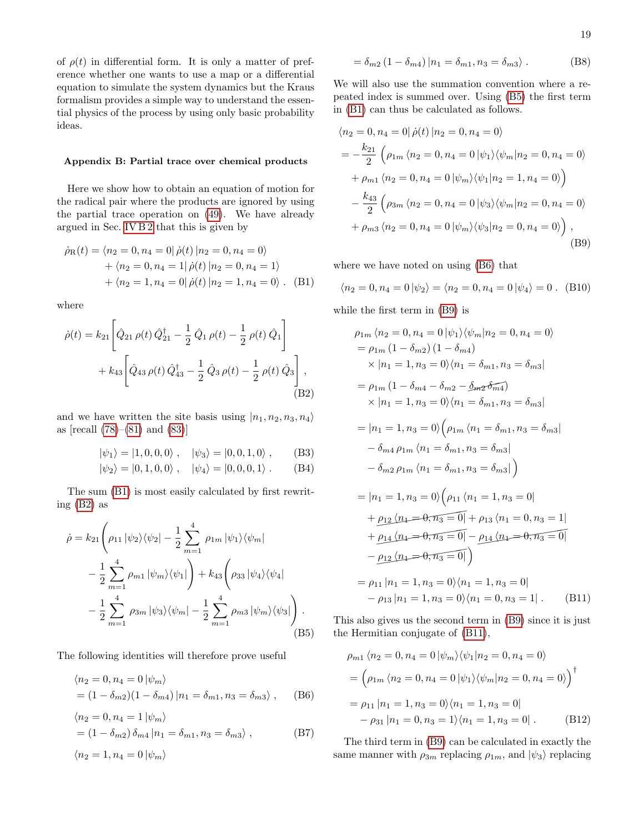of  $\rho(t)$  in differential form. It is only a matter of preference whether one wants to use a map or a differential equation to simulate the system dynamics but the Kraus formalism provides a simple way to understand the essential physics of the process by using only basic probability ideas.

# <span id="page-18-0"></span>Appendix B: Partial trace over chemical products

Here we show how to obtain an equation of motion for the radical pair where the products are ignored by using the partial trace operation on [\(49\)](#page-7-6). We have already argued in Sec. [IV B 2](#page-10-0) that this is given by

$$
\dot{\rho}_{R}(t) = \langle n_{2} = 0, n_{4} = 0 | \dot{\rho}(t) | n_{2} = 0, n_{4} = 0 \rangle
$$
  
+  $\langle n_{2} = 0, n_{4} = 1 | \dot{\rho}(t) | n_{2} = 0, n_{4} = 1 \rangle$   
+  $\langle n_{2} = 1, n_{4} = 0 | \dot{\rho}(t) | n_{2} = 1, n_{4} = 0 \rangle$ . (B1)

where

$$
\dot{\rho}(t) = k_{21} \left[ \hat{Q}_{21} \rho(t) \hat{Q}_{21}^{\dagger} - \frac{1}{2} \hat{Q}_{1} \rho(t) - \frac{1}{2} \rho(t) \hat{Q}_{1} \right] + k_{43} \left[ \hat{Q}_{43} \rho(t) \hat{Q}_{43}^{\dagger} - \frac{1}{2} \hat{Q}_{3} \rho(t) - \frac{1}{2} \rho(t) \hat{Q}_{3} \right],
$$
\n(B2)

and we have written the site basis using  $|n_1, n_2, n_3, n_4\rangle$ as [recall [\(78\)](#page-10-6)–[\(81\)](#page-11-4) and [\(83\)](#page-11-5)]

$$
|\psi_1\rangle = |1, 0, 0, 0\rangle , \quad |\psi_3\rangle = |0, 0, 1, 0\rangle , \quad (B3)
$$

$$
|\psi_2\rangle = |0, 1, 0, 0\rangle, \quad |\psi_4\rangle = |0, 0, 0, 1\rangle.
$$
 (B4)

The sum [\(B1\)](#page-18-1) is most easily calculated by first rewriting [\(B2\)](#page-18-2) as

$$
\dot{\rho} = k_{21} \left( \rho_{11} |\psi_2\rangle\langle\psi_2| - \frac{1}{2} \sum_{m=1}^4 \rho_{1m} |\psi_1\rangle\langle\psi_m| - \frac{1}{2} \sum_{m=1}^4 \rho_{m1} |\psi_m\rangle\langle\psi_1| \right) + k_{43} \left( \rho_{33} |\psi_4\rangle\langle\psi_4| - \frac{1}{2} \sum_{m=1}^4 \rho_{3m} |\psi_3\rangle\langle\psi_m| - \frac{1}{2} \sum_{m=1}^4 \rho_{m3} |\psi_m\rangle\langle\psi_3| \right). \tag{B5}
$$

The following identities will therefore prove useful

$$
\langle n_2 = 0, n_4 = 0 | \psi_m \rangle
$$
  
=  $(1 - \delta_{m2})(1 - \delta_{m4}) | n_1 = \delta_{m1}, n_3 = \delta_{m3} \rangle$ , (B6)

$$
\langle n_2 = 0, n_4 = 1 | \psi_m \rangle
$$
  
=  $(1 - \delta_{m2}) \delta_{m4} | n_1 = \delta_{m1}, n_3 = \delta_{m3} \rangle$ , (B7)

$$
\langle n_2=1, n_4=0 \, |\psi_m\rangle
$$

<span id="page-18-9"></span>
$$
= \delta_{m2} (1 - \delta_{m4}) |n_1 = \delta_{m1}, n_3 = \delta_{m3} \rangle . \tag{B8}
$$

We will also use the summation convention where a repeated index is summed over. Using [\(B5\)](#page-18-3) the first term in [\(B1\)](#page-18-1) can thus be calculated as follows.

$$
\langle n_2 = 0, n_4 = 0 | \dot{\rho}(t) | n_2 = 0, n_4 = 0 \rangle
$$
  
=  $-\frac{k_{21}}{2} \left( \rho_{1m} \langle n_2 = 0, n_4 = 0 | \psi_1 \rangle \langle \psi_m | n_2 = 0, n_4 = 0 \rangle \right)$   
+  $\rho_{m1} \langle n_2 = 0, n_4 = 0 | \psi_m \rangle \langle \psi_1 | n_2 = 1, n_4 = 0 \rangle$   
 $-\frac{k_{43}}{2} \left( \rho_{3m} \langle n_2 = 0, n_4 = 0 | \psi_3 \rangle \langle \psi_m | n_2 = 0, n_4 = 0 \rangle \right)$   
+  $\rho_{m3} \langle n_2 = 0, n_4 = 0 | \psi_m \rangle \langle \psi_3 | n_2 = 0, n_4 = 0 \rangle$ , (B9)

<span id="page-18-1"></span>where we have noted on using [\(B6\)](#page-18-4) that

<span id="page-18-5"></span>
$$
\langle n_2 = 0, n_4 = 0 | \psi_2 \rangle = \langle n_2 = 0, n_4 = 0 | \psi_4 \rangle = 0.
$$
 (B10)

while the first term in [\(B9\)](#page-18-5) is

<span id="page-18-2"></span>
$$
\rho_{1m} \langle n_2 = 0, n_4 = 0 | \psi_1 \rangle \langle \psi_m | n_2 = 0, n_4 = 0 \rangle
$$
  
\n
$$
= \rho_{1m} (1 - \delta_{m2}) (1 - \delta_{m4})
$$
  
\n
$$
\times |n_1 = 1, n_3 = 0 \rangle \langle n_1 = \delta_{m1}, n_3 = \delta_{m3} |
$$
  
\n
$$
= \rho_{1m} (1 - \delta_{m4} - \delta_{m2} - \delta_{m2} - \delta_{m4})
$$
  
\n
$$
\times |n_1 = 1, n_3 = 0 \rangle \langle n_1 = \delta_{m1}, n_3 = \delta_{m3} |
$$
  
\n
$$
= |n_1 = 1, n_3 = 0 \rangle \left( \rho_{1m} \langle n_1 = \delta_{m1}, n_3 = \delta_{m3} |
$$
  
\n
$$
- \delta_{m4} \rho_{1m} \langle n_1 = \delta_{m1}, n_3 = \delta_{m3} |
$$
  
\n
$$
- \delta_{m2} \rho_{1m} \langle n_1 = \delta_{m1}, n_3 = \delta_{m3} |
$$
  
\n
$$
= |n_1 = 1, n_3 = 0 \rangle \left( \rho_{11} \langle n_1 = 1, n_3 = 0 |
$$
  
\n
$$
+ \rho_{12} \langle n_4 = 0, n_3 = 0 | + \rho_{13} \langle n_1 = 0, n_3 = 1 |
$$
  
\n
$$
+ \rho_{14} \langle n_1 = 0, n_3 = 0 |
$$
  
\n
$$
- \rho_{12} \langle n_4 = 0, n_3 = 0 |
$$
  
\n
$$
= \rho_{11} | n_1 = 1, n_3 = 0 \rangle \langle n_1 = 1, n_3 = 0 |
$$
  
\n
$$
- \rho_{13} | n_1 = 1, n_3 = 0 \rangle \langle n_1 = 0, n_3 = 1 |
$$
 (B11)

<span id="page-18-3"></span>This also gives us the second term in [\(B9\)](#page-18-5) since it is just the Hermitian conjugate of [\(B11\)](#page-18-6),

<span id="page-18-7"></span><span id="page-18-6"></span><span id="page-18-4"></span>
$$
\rho_{m1} \langle n_2 = 0, n_4 = 0 | \psi_m \rangle \langle \psi_1 | n_2 = 0, n_4 = 0 \rangle
$$
  
=  $\left( \rho_{1m} \langle n_2 = 0, n_4 = 0 | \psi_1 \rangle \langle \psi_m | n_2 = 0, n_4 = 0 \rangle \right)^{\dagger}$   
=  $\rho_{11} | n_1 = 1, n_3 = 0 \rangle \langle n_1 = 1, n_3 = 0 |$   
-  $\rho_{31} | n_1 = 0, n_3 = 1 \rangle \langle n_1 = 1, n_3 = 0 |.$  (B12)

<span id="page-18-8"></span>The third term in [\(B9\)](#page-18-5) can be calculated in exactly the same manner with  $\rho_{3m}$  replacing  $\rho_{1m}$ , and  $|\psi_3\rangle$  replacing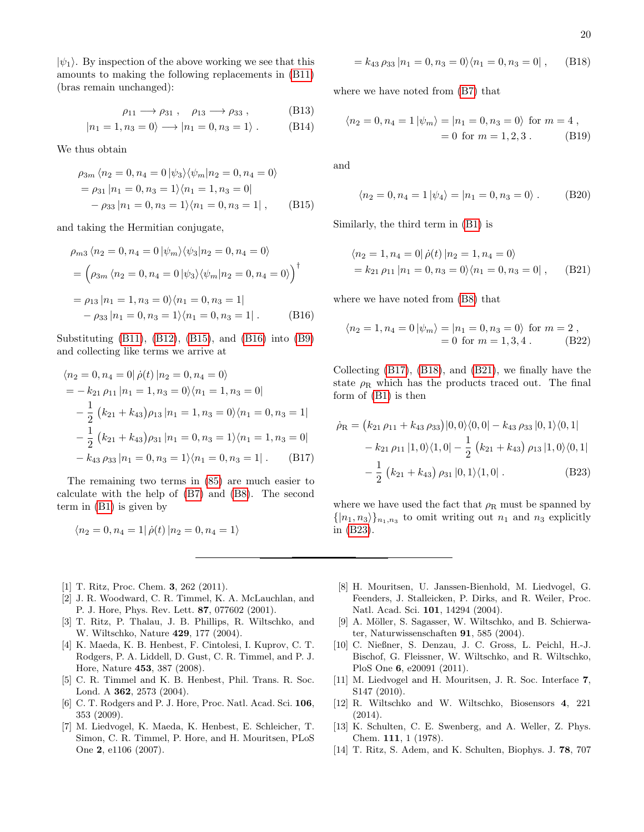$|\psi_1\rangle$ . By inspection of the above working we see that this amounts to making the following replacements in [\(B11\)](#page-18-6) (bras remain unchanged):

$$
\rho_{11} \longrightarrow \rho_{31} , \quad \rho_{13} \longrightarrow \rho_{33} , \tag{B13}
$$

$$
|n_1 = 1, n_3 = 0\rangle \longrightarrow |n_1 = 0, n_3 = 1\rangle . \tag{B14}
$$

We thus obtain

$$
\rho_{3m} \langle n_2 = 0, n_4 = 0 | \psi_3 \rangle \langle \psi_m | n_2 = 0, n_4 = 0 \rangle
$$
  
=  $\rho_{31} | n_1 = 0, n_3 = 1 \rangle \langle n_1 = 1, n_3 = 0 |$   
-  $\rho_{33} | n_1 = 0, n_3 = 1 \rangle \langle n_1 = 0, n_3 = 1 |,$  (B15)

and taking the Hermitian conjugate,

$$
\rho_{m3} \langle n_2 = 0, n_4 = 0 | \psi_m \rangle \langle \psi_3 | n_2 = 0, n_4 = 0 \rangle
$$
  
=  $\left( \rho_{3m} \langle n_2 = 0, n_4 = 0 | \psi_3 \rangle \langle \psi_m | n_2 = 0, n_4 = 0 \rangle \right)^{\dagger}$   
=  $\rho_{13} | n_1 = 1, n_3 = 0 \rangle \langle n_1 = 0, n_3 = 1 |$   
-  $\rho_{33} | n_1 = 0, n_3 = 1 \rangle \langle n_1 = 0, n_3 = 1 |.$  (B16)

Substituting [\(B11\)](#page-18-6), [\(B12\)](#page-18-7), [\(B15\)](#page-19-8), and [\(B16\)](#page-19-9) into [\(B9\)](#page-18-5) and collecting like terms we arrive at

$$
\langle n_2 = 0, n_4 = 0 | \dot{\rho}(t) | n_2 = 0, n_4 = 0 \rangle
$$
  
=  $-k_{21} \rho_{11} | n_1 = 1, n_3 = 0 \rangle \langle n_1 = 1, n_3 = 0 |$   
 $- \frac{1}{2} (k_{21} + k_{43}) \rho_{13} | n_1 = 1, n_3 = 0 \rangle \langle n_1 = 0, n_3 = 1 |$   
 $- \frac{1}{2} (k_{21} + k_{43}) \rho_{31} | n_1 = 0, n_3 = 1 \rangle \langle n_1 = 1, n_3 = 0 |$   
 $- k_{43} \rho_{33} | n_1 = 0, n_3 = 1 \rangle \langle n_1 = 0, n_3 = 1 |$  (B17)

The remaining two terms in [\(85\)](#page-11-1) are much easier to calculate with the help of [\(B7\)](#page-18-8) and [\(B8\)](#page-18-9). The second term in [\(B1\)](#page-18-1) is given by

$$
\langle n_2 = 0, n_4 = 1 | \dot{\rho}(t) | n_2 = 0, n_4 = 1 \rangle
$$

- <span id="page-19-0"></span>[1] T. Ritz, Proc. Chem. 3, 262 (2011).
- <span id="page-19-1"></span>[2] J. R. Woodward, C. R. Timmel, K. A. McLauchlan, and P. J. Hore, Phys. Rev. Lett. 87, 077602 (2001).
- [3] T. Ritz, P. Thalau, J. B. Phillips, R. Wiltschko, and W. Wiltschko, Nature 429, 177 (2004).
- <span id="page-19-7"></span>[4] K. Maeda, K. B. Henbest, F. Cintolesi, I. Kuprov, C. T. Rodgers, P. A. Liddell, D. Gust, C. R. Timmel, and P. J. Hore, Nature 453, 387 (2008).
- [5] C. R. Timmel and K. B. Henbest, Phil. Trans. R. Soc. Lond. A 362, 2573 (2004).
- <span id="page-19-2"></span>[6] C. T. Rodgers and P. J. Hore, Proc. Natl. Acad. Sci. 106, 353 (2009).
- <span id="page-19-3"></span>[7] M. Liedvogel, K. Maeda, K. Henbest, E. Schleicher, T. Simon, C. R. Timmel, P. Hore, and H. Mouritsen, PLoS One 2, e1106 (2007).

<span id="page-19-11"></span>
$$
= k_{43} \rho_{33} | n_1 = 0, n_3 = 0 \rangle \langle n_1 = 0, n_3 = 0 | , \quad (B18)
$$

where we have noted from [\(B7\)](#page-18-8) that

$$
\langle n_2 = 0, n_4 = 1 | \psi_m \rangle = |n_1 = 0, n_3 = 0\rangle
$$
 for  $m = 4$ ,  
= 0 for  $m = 1, 2, 3$ . (B19)

and

$$
\langle n_2 = 0, n_4 = 1 | \psi_4 \rangle = | n_1 = 0, n_3 = 0 \rangle . \quad (B20)
$$

<span id="page-19-8"></span>Similarly, the third term in [\(B1\)](#page-18-1) is

<span id="page-19-12"></span>
$$
\langle n_2 = 1, n_4 = 0 | \dot{\rho}(t) | n_2 = 1, n_4 = 0 \rangle
$$
  
=  $k_{21} \rho_{11} | n_1 = 0, n_3 = 0 \rangle \langle n_1 = 0, n_3 = 0 | ,$  (B21)

<span id="page-19-9"></span>where we have noted from [\(B8\)](#page-18-9) that

$$
\langle n_2 = 1, n_4 = 0 | \psi_m \rangle = |n_1 = 0, n_3 = 0\rangle \text{ for } m = 2 ,
$$
  
= 0 for  $m = 1, 3, 4$ . (B22)

Collecting [\(B17\)](#page-19-10), [\(B18\)](#page-19-11), and [\(B21\)](#page-19-12), we finally have the state  $\rho_R$  which has the products traced out. The final form of [\(B1\)](#page-18-1) is then

<span id="page-19-13"></span><span id="page-19-10"></span>
$$
\dot{\rho}_{\rm R} = (k_{21} \rho_{11} + k_{43} \rho_{33}) |0,0\rangle\langle0,0| - k_{43} \rho_{33} |0,1\rangle\langle0,1| \n- k_{21} \rho_{11} |1,0\rangle\langle1,0| - \frac{1}{2} (k_{21} + k_{43}) \rho_{13} |1,0\rangle\langle0,1| \n- \frac{1}{2} (k_{21} + k_{43}) \rho_{31} |0,1\rangle\langle1,0|.
$$
\n(B23)

where we have used the fact that  $\rho_R$  must be spanned by  $\{|n_1, n_3\rangle\}_{n_1, n_3}$  to omit writing out  $n_1$  and  $n_3$  explicitly in [\(B23\)](#page-19-13).

- [8] H. Mouritsen, U. Janssen-Bienhold, M. Liedvogel, G. Feenders, J. Stalleicken, P. Dirks, and R. Weiler, Proc. Natl. Acad. Sci. 101, 14294 (2004).
- [9] A. Möller, S. Sagasser, W. Wiltschko, and B. Schierwater, Naturwissenschaften 91, 585 (2004).
- [10] C. Nießner, S. Denzau, J. C. Gross, L. Peichl, H.-J. Bischof, G. Fleissner, W. Wiltschko, and R. Wiltschko, PloS One 6, e20091 (2011).
- [11] M. Liedvogel and H. Mouritsen, J. R. Soc. Interface 7, S147 (2010).
- <span id="page-19-4"></span>[12] R. Wiltschko and W. Wiltschko, Biosensors 4, 221 (2014).
- <span id="page-19-5"></span>[13] K. Schulten, C. E. Swenberg, and A. Weller, Z. Phys. Chem. 111, 1 (1978).
- <span id="page-19-6"></span>[14] T. Ritz, S. Adem, and K. Schulten, Biophys. J. 78, 707